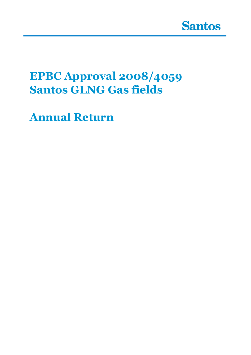

## **EPBC Approval 2008/4059 Santos GLNG Gas fields**

**Annual Return**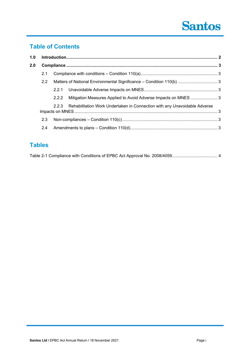# **Santos**

## **Table of Contents**

| 1.0 |     |       |                                                                           |  |
|-----|-----|-------|---------------------------------------------------------------------------|--|
| 2.0 |     |       |                                                                           |  |
|     | 2.1 |       |                                                                           |  |
|     | 2.2 |       | Matters of National Environmental Significance - Condition 110(b)  3      |  |
|     |     | 2.2.1 |                                                                           |  |
|     |     | 2.2.2 | Mitigation Measures Applied to Avoid Adverse Impacts on MNES  3           |  |
|     |     | 2.2.3 | Rehabilitation Work Undertaken in Connection with any Unavoidable Adverse |  |
|     | 2.3 |       |                                                                           |  |
|     | 2.4 |       |                                                                           |  |
|     |     |       |                                                                           |  |

### **Tables**

|--|--|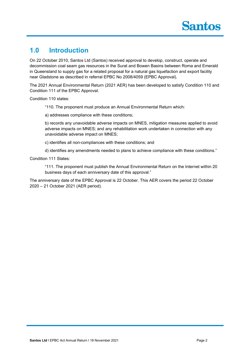## **1.0 Introduction**

On 22 October 2010, Santos Ltd (Santos) received approval to develop, construct, operate and decommission coal seam gas resources in the Surat and Bowen Basins between Roma and Emerald in Queensland to supply gas for a related proposal for a natural gas liquefaction and export facility near Gladstone as described in referral EPBC No 2008/4059 (EPBC Approval).

The 2021 Annual Environmental Return (2021 AER) has been developed to satisfy Condition 110 and Condition 111 of the EPBC Approval.

Condition 110 states:

"110. The proponent must produce an Annual Environmental Return which:

a) addresses compliance with these conditions;

b) records any unavoidable adverse impacts on MNES, mitigation measures applied to avoid adverse impacts on MNES; and any rehabilitation work undertaken in connection with any unavoidable adverse impact on MNES;

- c) identifies all non-compliances with these conditions; and
- d) identifies any amendments needed to plans to achieve compliance with these conditions."

Condition 111 States:

"111. The proponent must publish the Annual Environmental Return on the Internet within 20 business days of each anniversary date of this approval."

The anniversary date of the EPBC Approval is 22 October. This AER covers the period 22 October 2020 – 21 October 2021 (AER period).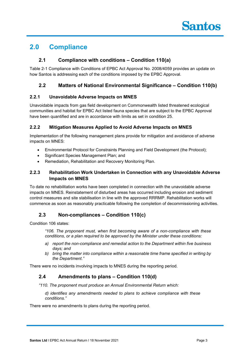## **2.0 Compliance**

#### **2.1 Compliance with conditions – Condition 110(a)**

Table 2-1 Compliance with Conditions of EPBC Act Approval No. 2008/4059 provides an update on how Santos is addressing each of the conditions imposed by the EPBC Approval.

#### **2.2 Matters of National Environmental Significance – Condition 110(b)**

#### **2.2.1 Unavoidable Adverse Impacts on MNES**

Unavoidable impacts from gas field development on Commonwealth listed threatened ecological communities and habitat for EPBC Act listed fauna species that are subject to the EPBC Approval have been quantified and are in accordance with limits as set in condition 25.

#### **2.2.2 Mitigation Measures Applied to Avoid Adverse Impacts on MNES**

Implementation of the following management plans provide for mitigation and avoidance of adverse impacts on MNES:

- Environmental Protocol for Constraints Planning and Field Development (the Protocol);
- Significant Species Management Plan; and
- Remediation, Rehabilitation and Recovery Monitoring Plan.

#### **2.2.3 Rehabilitation Work Undertaken in Connection with any Unavoidable Adverse Impacts on MNES**

To date no rehabilitation works have been completed in connection with the unavoidable adverse impacts on MNES. Reinstatement of disturbed areas has occurred including erosion and sediment control measures and site stabilisation in line with the approved RRRMP. Rehabilitation works will commence as soon as reasonably practicable following the completion of decommissioning activities.

#### **2.3 Non-compliances – Condition 110(c)**

Condition 106 states:

*"106. The proponent must, when first becoming aware of a non-compliance with these conditions, or a plan required to be approved by the Minister under these conditions:*

- *a) report the non-compliance and remedial action to the Department within five business days; and*
- *b) bring the matter into compliance within a reasonable time frame specified in writing by the Department."*

There were no incidents involving impacts to MNES during the reporting period.

#### **2.4 Amendments to plans – Condition 110(d)**

- *"110. The proponent must produce an Annual Environmental Return which:*
	- *d) identifies any amendments needed to plans to achieve compliance with these conditions."*

There were no amendments to plans during the reporting period.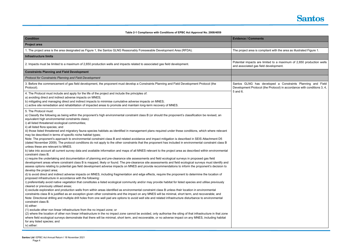

ant with the area as illustrated Figure 1.

ited to a maximum of 2,650 production wells levelopment.

eloped a Constraints Planning and Field e Protocol) in accordance with conditions 3, 4,

| <b>Condition</b>                                                                                                                                                                                                                                                                                                                                                                                                                                                                                                                                                                                                                                                                                                                                                                                                                                                                                                                                                                                                                                                                                                                                                                                                                                                                                                                                                                                                                                                                                                                                                                                                                                                                                                                                                                                                                                                                                                                                                                                                                                                                                                                                                                                                                                                                                                                                                                                                                                                                                                                                                                                                                                                                                                                                                                                                                                                                                                                                                                                                          | <b>Evidence / Comments</b>                                |
|---------------------------------------------------------------------------------------------------------------------------------------------------------------------------------------------------------------------------------------------------------------------------------------------------------------------------------------------------------------------------------------------------------------------------------------------------------------------------------------------------------------------------------------------------------------------------------------------------------------------------------------------------------------------------------------------------------------------------------------------------------------------------------------------------------------------------------------------------------------------------------------------------------------------------------------------------------------------------------------------------------------------------------------------------------------------------------------------------------------------------------------------------------------------------------------------------------------------------------------------------------------------------------------------------------------------------------------------------------------------------------------------------------------------------------------------------------------------------------------------------------------------------------------------------------------------------------------------------------------------------------------------------------------------------------------------------------------------------------------------------------------------------------------------------------------------------------------------------------------------------------------------------------------------------------------------------------------------------------------------------------------------------------------------------------------------------------------------------------------------------------------------------------------------------------------------------------------------------------------------------------------------------------------------------------------------------------------------------------------------------------------------------------------------------------------------------------------------------------------------------------------------------------------------------------------------------------------------------------------------------------------------------------------------------------------------------------------------------------------------------------------------------------------------------------------------------------------------------------------------------------------------------------------------------------------------------------------------------------------------------------------------------|-----------------------------------------------------------|
| <b>Project area</b>                                                                                                                                                                                                                                                                                                                                                                                                                                                                                                                                                                                                                                                                                                                                                                                                                                                                                                                                                                                                                                                                                                                                                                                                                                                                                                                                                                                                                                                                                                                                                                                                                                                                                                                                                                                                                                                                                                                                                                                                                                                                                                                                                                                                                                                                                                                                                                                                                                                                                                                                                                                                                                                                                                                                                                                                                                                                                                                                                                                                       |                                                           |
| 1. The project area is the area designated as Figure 1, the Santos GLNG Reasonably Foreseeable Development Area (RFDA).                                                                                                                                                                                                                                                                                                                                                                                                                                                                                                                                                                                                                                                                                                                                                                                                                                                                                                                                                                                                                                                                                                                                                                                                                                                                                                                                                                                                                                                                                                                                                                                                                                                                                                                                                                                                                                                                                                                                                                                                                                                                                                                                                                                                                                                                                                                                                                                                                                                                                                                                                                                                                                                                                                                                                                                                                                                                                                   | The project area is complia                               |
| <b>Infrastructure limits</b>                                                                                                                                                                                                                                                                                                                                                                                                                                                                                                                                                                                                                                                                                                                                                                                                                                                                                                                                                                                                                                                                                                                                                                                                                                                                                                                                                                                                                                                                                                                                                                                                                                                                                                                                                                                                                                                                                                                                                                                                                                                                                                                                                                                                                                                                                                                                                                                                                                                                                                                                                                                                                                                                                                                                                                                                                                                                                                                                                                                              |                                                           |
| 2. Impacts must be limited to a maximum of 2,650 production wells and impacts related to associated gas field development.                                                                                                                                                                                                                                                                                                                                                                                                                                                                                                                                                                                                                                                                                                                                                                                                                                                                                                                                                                                                                                                                                                                                                                                                                                                                                                                                                                                                                                                                                                                                                                                                                                                                                                                                                                                                                                                                                                                                                                                                                                                                                                                                                                                                                                                                                                                                                                                                                                                                                                                                                                                                                                                                                                                                                                                                                                                                                                | Potential impacts are limit<br>and associated gas field d |
| <b>Constraints Planning and Field Development</b>                                                                                                                                                                                                                                                                                                                                                                                                                                                                                                                                                                                                                                                                                                                                                                                                                                                                                                                                                                                                                                                                                                                                                                                                                                                                                                                                                                                                                                                                                                                                                                                                                                                                                                                                                                                                                                                                                                                                                                                                                                                                                                                                                                                                                                                                                                                                                                                                                                                                                                                                                                                                                                                                                                                                                                                                                                                                                                                                                                         |                                                           |
| Protocol for Constraints Planning and Field Development                                                                                                                                                                                                                                                                                                                                                                                                                                                                                                                                                                                                                                                                                                                                                                                                                                                                                                                                                                                                                                                                                                                                                                                                                                                                                                                                                                                                                                                                                                                                                                                                                                                                                                                                                                                                                                                                                                                                                                                                                                                                                                                                                                                                                                                                                                                                                                                                                                                                                                                                                                                                                                                                                                                                                                                                                                                                                                                                                                   |                                                           |
| 3. Before the commencement of gas field development, the proponent must develop a Constraints Planning and Field Development Protocol (the<br>Protocol).                                                                                                                                                                                                                                                                                                                                                                                                                                                                                                                                                                                                                                                                                                                                                                                                                                                                                                                                                                                                                                                                                                                                                                                                                                                                                                                                                                                                                                                                                                                                                                                                                                                                                                                                                                                                                                                                                                                                                                                                                                                                                                                                                                                                                                                                                                                                                                                                                                                                                                                                                                                                                                                                                                                                                                                                                                                                  | Santos GLNG has deve<br>Development Protocol (the         |
| 4. The Protocol must include and apply for the life of the project and include the principles of:<br>a) avoiding direct and indirect adverse impacts on MNES;<br>b) mitigating and managing direct and indirect impacts to minimise cumulative adverse impacts on MNES;<br>c) active site remediation and rehabilitation of impacted areas to promote and maintain long-term recovery of MNES.                                                                                                                                                                                                                                                                                                                                                                                                                                                                                                                                                                                                                                                                                                                                                                                                                                                                                                                                                                                                                                                                                                                                                                                                                                                                                                                                                                                                                                                                                                                                                                                                                                                                                                                                                                                                                                                                                                                                                                                                                                                                                                                                                                                                                                                                                                                                                                                                                                                                                                                                                                                                                            | 5 and 6.                                                  |
| 5. The Protocol must:<br>a) Classify the following as being within the proponent's high environmental constraint class B (or should the proponent's classification be revised, an<br>equivalent high environmental constraints class):<br>i) all listed threatened ecological communities;<br>ii) all listed flora species; and<br>iii) those listed threatened and migratory fauna species habitats as identified in management plans required under these conditions, which where relevant<br>may be described in terms of specific niche habitat types;<br>Note: The proponent's approach to environmental constraint class B and related avoidance and impact mitigation is described in SEIS Attachment D5<br>(dated November 2009). The protocol conditions do not apply to the other constraints that the proponent has included in environmental constraint class B<br>unless these are relevant to MNES.<br>b) take into account all current survey data and available information and maps of all MNES relevant to the project area as described within environmental<br>constraint class B;<br>c) require the undertaking and documentation of planning and pre-clearance site assessments and field ecological surveys in proposed gas field<br>development areas where constraint class B is mapped, likely or found. The pre-clearance site assessments and field ecological surveys must identify and<br>assess options relating to potential gas field development adverse impacts on MNES and provide recommendations to inform the proponent's decision to<br>develop the project area;<br>d) to avoid direct and indirect adverse impacts on MNES, including fragmentation and edge effects, require the proponent to determine the location of<br>proposed infrastructure in accordance with the following:<br>i) preferentially avoid native vegetation that constitutes a listed ecological community and/or may provide habitat for listed species and utilise previously<br>cleared or previously utilised areas;<br>ii) exclude exploration and production wells from within areas identified as environmental constraint class B unless their location in environmental<br>constraints class B is justified as an exception given other constraints and the impact on any MNES will be minimal, short term, and recoverable; and<br>Note: Directional drilling and multiple drill holes from one well pad are options to avoid well site and related infrastructure disturbance to environmental<br>constraint class B.<br>iii) either:<br>(1) exclude other non linear infrastructure from the no impact zone; or<br>(2) where the location of other non linear infrastructure in the no impact zone cannot be avoided, only authorise the siting of that infrastructure in that zone<br>where field ecological surveys demonstrate that there will be minimal, short term, and recoverable, or no adverse impact on any MNES, including habitat<br>for any listed species; and<br>iv) either: |                                                           |

**Table 2-1 Compliance with Conditions of EPBC Act Approval No. 2008/4059**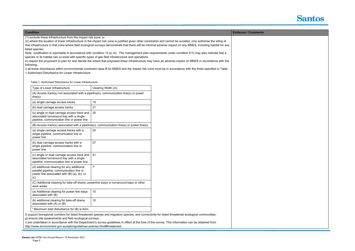



#### **Condition Evidence / Comments**

(1) exclude linear infrastructure from the impact risk zone; or

(2) where the location of linear infrastructure in the impact risk zone is justified given other constraints and cannot be avoided, only authorise the siting of that infrastructure in that zone where field ecological surveys demonstrate that there will be minimal adverse impact on any MNES, including habitat for any listed species;

i) all linear disturbance within environmental constraint class B for MNES and the impact risk zone must be in accordance with the limits specified in Table 1 Authorised Disturbance for Linear Infrastructure

Note: Justification is reportable in accordance with condition 13 a) vii). The management plan requirements under condition 8 h) may also indicate that a species or its habitat can co-exist with specific types of gas field infrastructure and operations.

e) require the proponent to plan for and decide the extent that proposed linear infrastructure may have an adverse impact on MNES in accordance with the following:

Table 1: Authorised Disturbance for Linear Infrastructure

| Type of Linear Infrastructure                                                                                                                | Clearing Width (m) |
|----------------------------------------------------------------------------------------------------------------------------------------------|--------------------|
| (A) Access track(s) not associated with a pipeline(s), communication line(s) or power<br>$line(s)$ :                                         |                    |
| (a) single carriage access tracks                                                                                                            | 18                 |
| (b) dual carriage access tracks                                                                                                              | 21                 |
| (c) single or dual carriage access track and<br>associated turnaround bay with a single<br>pipeline, communication line or power line        | 35                 |
| (B) Access track(s) associated with a pipeline(s), communication line(s) or power line(s):                                                   |                    |
| (a) single carriage access tracks with a<br>single pipeline, communication line or<br>power line                                             | 24                 |
| (b) dual carriage access tracks with a<br>single pipeline, communication line or<br>power line                                               | 27                 |
| (c) single or dual carriage access track and<br>associated turnaround bay with a single<br>pipeline, communication line or power line        | 41                 |
| (d) additional clearing for any additional<br>parallel pipeline, communication line or<br>power line associated with (B) (a), (b), or<br>(c) | 7 <sup>1</sup>     |
| (C) Additional clearing for take-off drains, powerline stays or turnaround bays or other<br>work areas:                                      |                    |
| (a) Additional clearing for power line stays<br>associated with (B)                                                                          | 10                 |
| (b) additional clearing for take-off drains<br>associated with (A) or (B)                                                                    | 10                 |
| <sup>1</sup> Maximum total disturbance for $(B)$ is 62m.                                                                                     |                    |

f) support bioregional corridors for listed threatened species and migratory species, and connectivity for listed threatened ecological communities; g) ensure site assessments and field ecological surveys:

i) are undertaken in accordance with the Department's survey guidelines in effect at the time of the survey. This information can be obtained from http://www.environment.gov.au/epbc/guidelines-policies.html#threatened;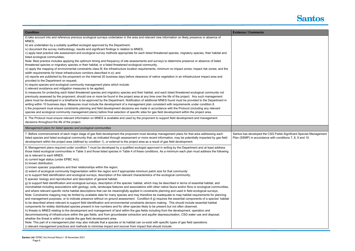

 $\epsilon \csc$  CSG Fields Significant Species Management ce with conditions 7, 8, 9 and 10.

| <b>Condition</b>                                                                                                                                                                                                                                                                                                                                                                                                                                                                                                                                                                                                                                                                                                                                                                                                                                                                                                                                                                                                                                                                                                                                                                                                                                                                                                                                                                                                                                                                                                                                                                                                                                                                                                                                                                                                                                                                                                                                                                                                                                                                                                                                                                                                                                                                                                                                                                                                                                                                                                                                                                                           | <b>Evidence / Comments</b>                           |
|------------------------------------------------------------------------------------------------------------------------------------------------------------------------------------------------------------------------------------------------------------------------------------------------------------------------------------------------------------------------------------------------------------------------------------------------------------------------------------------------------------------------------------------------------------------------------------------------------------------------------------------------------------------------------------------------------------------------------------------------------------------------------------------------------------------------------------------------------------------------------------------------------------------------------------------------------------------------------------------------------------------------------------------------------------------------------------------------------------------------------------------------------------------------------------------------------------------------------------------------------------------------------------------------------------------------------------------------------------------------------------------------------------------------------------------------------------------------------------------------------------------------------------------------------------------------------------------------------------------------------------------------------------------------------------------------------------------------------------------------------------------------------------------------------------------------------------------------------------------------------------------------------------------------------------------------------------------------------------------------------------------------------------------------------------------------------------------------------------------------------------------------------------------------------------------------------------------------------------------------------------------------------------------------------------------------------------------------------------------------------------------------------------------------------------------------------------------------------------------------------------------------------------------------------------------------------------------------------------|------------------------------------------------------|
| ii) take account into and reference previous ecological surveys undertaken in the area and relevant new information on likely presence or absence of<br>MNES;<br>iii) are undertaken by a suitably qualified ecologist approved by the Department;<br>iv) document the survey methodology, results and significant findings in relation to MNES;<br>v) apply best practice site assessment and ecological survey methods appropriate for each listed threatened species, migratory species, their habitat and<br>listed ecological communities;<br>Note: Best practice includes applying the optimum timing and frequency of site assessments and surveys to determine presence or absence of listed<br>threatened species or migratory species or their habitat, or a listed threatened ecological community.<br>vi) apply the mapping of environmental constraints class B; the infrastructure location requirements; minimum no impact zones; impact risk zones; and the<br>width requirements for linear infrastructure corridors described in e); and<br>vii) reports are published by the proponent on the Internet 20 business days before clearance of native vegetation in an infrastructure impact area and<br>provided to the Department on request;<br>h) require species and ecological community management plans which include:<br>i) relevant avoidance and mitigation measures to be applied;<br>ii) measures for protecting each listed threatened species and migratory species and their habitat, and each listed threatened ecological community not<br>previously assessed by the proponent, should one or more be found in the project area at any time over the life of the project. Any such management<br>plans must be developed in a timeframe to be approved by the Department. Notification of additional MNES found must be provided to the Department in<br>writing within 10 business days. Measures must include the development of a management plan consistent with requirements under condition 8.<br>i) the proponent must ensure constraints planning and field development decisions are made in accordance with the Protocol (including any relevant<br>species and ecological community management plans) before final selection of specific sites for gas field development within the project area.                                                                                                                                                                                                                                                            |                                                      |
| 6. The Protocol must ensure relevant information on MNES is available and used by the proponent to support field development and management<br>decisions throughout the life of the project.                                                                                                                                                                                                                                                                                                                                                                                                                                                                                                                                                                                                                                                                                                                                                                                                                                                                                                                                                                                                                                                                                                                                                                                                                                                                                                                                                                                                                                                                                                                                                                                                                                                                                                                                                                                                                                                                                                                                                                                                                                                                                                                                                                                                                                                                                                                                                                                                               |                                                      |
| Management plans for listed species and ecological communities                                                                                                                                                                                                                                                                                                                                                                                                                                                                                                                                                                                                                                                                                                                                                                                                                                                                                                                                                                                                                                                                                                                                                                                                                                                                                                                                                                                                                                                                                                                                                                                                                                                                                                                                                                                                                                                                                                                                                                                                                                                                                                                                                                                                                                                                                                                                                                                                                                                                                                                                             |                                                      |
| 7. Before commencement of each major stage of gas field development the proponent must develop management plans for that area addressing each<br>listed species and listed ecological community that, as indicated through assessment or more recent information, may be potentially impacted by gas field<br>development within the project area (defined by condition 1), or external to the project area as a result of gas field development.                                                                                                                                                                                                                                                                                                                                                                                                                                                                                                                                                                                                                                                                                                                                                                                                                                                                                                                                                                                                                                                                                                                                                                                                                                                                                                                                                                                                                                                                                                                                                                                                                                                                                                                                                                                                                                                                                                                                                                                                                                                                                                                                                          | Santos has developed the<br>Plan (SSMP) in accordanc |
| 8. Management plans required under condition 7 must be developed by a qualified ecologist approved in writing by the Department and at least address<br>those listed ecological communities in Table 3 and those listed species in Table 4 of these conditions. As a minimum each plan must address the following<br>as is relevant to each MNES:<br>a) current legal status (under EPBC Act);<br>b) known distribution;<br>c) known species' populations and their relationships within the region;<br>d) extent of ecological community fragmentation within the region and if appropriate minimum patch size for that community<br>e) to support field identification and ecological surveys, description of the relevant characteristics of the ecological community;<br>f) species' biology and reproduction and description of general habitat;<br>g) to support field identification and ecological surveys, description of the species' habitat, which may be described in terms of essential habitat, and<br>microhabitat including associations with geology, soils, landscape features and associations with other native fauna and/or flora or ecological communities,<br>and where relevant specific niche habitat descriptions that can be meaningfully applied in constraints planning and used in field ecological surveys;<br>Note: Constraints mapping may be limited by available data for many species and may therefore be inadequate to map habitat requirements for planning<br>and management purposes, or to indicate presence without on ground assessment. Condition 8 g) requires the essential components of a species' habitat<br>to be described where relevant to support field identification and environmental constraints decision making. This should include essential habitat<br>components for widely distributed species present in low numbers and for other species likely to be present but not often observed.<br>h) threats to MNES relating to the development and management of land within the gas fields including from the development, operation and<br>decommissioning of infrastructure within the gas fields; and from groundwater extraction and aquifer depressurisation, CSG water use and disposal,<br>whether the threat is within or outside the gas field development area;<br>Note: This part of a management plan may also indicate that a species or its habitat can co-exist with specific types of gas field operations.<br>i) relevant management practices and methods to minimise impact and recover from impact that should include: |                                                      |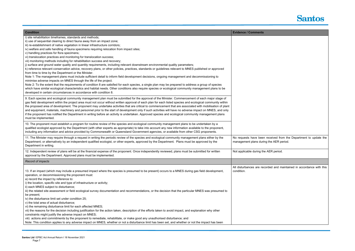

received from the Department to update the g the AER period.

 $\overline{\text{AER period}}$ .

orded and maintained in accordance with this

| <b>Condition</b>                                                                                                                                                                                                                                                                                                | <b>Evidence / Comments</b> |
|-----------------------------------------------------------------------------------------------------------------------------------------------------------------------------------------------------------------------------------------------------------------------------------------------------------------|----------------------------|
| i) site rehabilitation timeframes, standards and methods;                                                                                                                                                                                                                                                       |                            |
| ii) use of sequential clearing to direct fauna away from an impact zone;                                                                                                                                                                                                                                        |                            |
| iii) re-establishment of native vegetation in linear infrastructure corridors;                                                                                                                                                                                                                                  |                            |
| iv) welfare and safe handling of fauna specimens requiring relocation from impact sites;                                                                                                                                                                                                                        |                            |
| v) handling practices for flora specimens;                                                                                                                                                                                                                                                                      |                            |
| vi) translocation practices and monitoring for translocation success;                                                                                                                                                                                                                                           |                            |
| vii) monitoring methods including for rehabilitation success and recovery;                                                                                                                                                                                                                                      |                            |
| j) surface and ground water quality and quantity requirements, including relevant downstream environmental quality parameters;                                                                                                                                                                                  |                            |
| k) reference relevant conservation advice, recovery plans, or other policies, practices, standards or guidelines relevant to MNES published or approved                                                                                                                                                         |                            |
| from time to time by the Department or the Minister.                                                                                                                                                                                                                                                            |                            |
| Note 1: The management plans must include sufficient detail to inform field development decisions, ongoing management and decommissioning to                                                                                                                                                                    |                            |
| minimise adverse impacts on MNES through the life of the project.                                                                                                                                                                                                                                               |                            |
| Note 2: To the extent that the requirements of condition 8 are satisfied for each species, a single plan may be prepared to address a group of species<br>which have similar ecological characteristics and habitat needs. Other conditions also require species or ecological community management plans to be |                            |
| developed in certain circumstances in accordance with condition 8.                                                                                                                                                                                                                                              |                            |
|                                                                                                                                                                                                                                                                                                                 |                            |
| 9. Each species and ecological community management plan must be submitted for the approval of the Minister. Commencement of each major stage of                                                                                                                                                                |                            |
| gas field development within the project area must not occur without written approval of each plan for each listed species and ecological community within                                                                                                                                                      |                            |
| the proposed area of development. The proponent may undertake activities that are critical to commencement that are associated with mobilisation of plant                                                                                                                                                       |                            |
| and equipment, materials, machinery and personnel prior to the start of development only if such activities will have no adverse impact on MNES, and only                                                                                                                                                       |                            |
| if the proponent has notified the Department in writing before an activity is undertaken. Approved species and ecological community management plans                                                                                                                                                            |                            |
| must be implemented.                                                                                                                                                                                                                                                                                            |                            |
| 10. The proponent must establish a program for routine review of the species and ecological community management plans to be undertaken by a                                                                                                                                                                    |                            |
| qualified ecologist approved by the Department (with other experts as appropriate) to take into account any new information available to the proponent,                                                                                                                                                         |                            |
| including any information and advice provided by Commonwealth or Queensland Government agencies, or available from other CSG proponents.                                                                                                                                                                        |                            |
| 11. The Minister may require through a request in writing the periodic review of the species and ecological community management plans either by the                                                                                                                                                            | No requests have been      |
| Department; or alternatively by an independent qualified ecologist, or other experts, approved by the Department. Plans must be approved by the                                                                                                                                                                 | management plans during    |
| Department in writing.                                                                                                                                                                                                                                                                                          |                            |
| 12. Independent review of plans will be at the financial expense of the proponent. Once independently reviewed, plans must be submitted for written                                                                                                                                                             | Not applicable during the  |
| approval by the Department. Approved plans must be implemented.                                                                                                                                                                                                                                                 |                            |
| Record of impacts                                                                                                                                                                                                                                                                                               |                            |
|                                                                                                                                                                                                                                                                                                                 |                            |
|                                                                                                                                                                                                                                                                                                                 | All disturbances are reco  |
| 13. If an impact (which may include a presumed impact where the species is presumed to be present) occurs to a MNES during gas field development,                                                                                                                                                               | condition.                 |
| operation, or decommissioning the proponent must:                                                                                                                                                                                                                                                               |                            |
| a) record the impact by reference to:                                                                                                                                                                                                                                                                           |                            |
| i) the location, specific site and type of infrastructure or activity;                                                                                                                                                                                                                                          |                            |
| ii) each MNES subject to disturbance;                                                                                                                                                                                                                                                                           |                            |
| iii) the related site assessment or field ecological survey documentation and recommendations, or the decision that the particular MNES was presumed to                                                                                                                                                         |                            |
| be present;                                                                                                                                                                                                                                                                                                     |                            |
| iv) the disturbance limit set under condition 25;                                                                                                                                                                                                                                                               |                            |
| v) the total area of actual disturbance;                                                                                                                                                                                                                                                                        |                            |
| vi) the remaining disturbance limit for each affected MNES;                                                                                                                                                                                                                                                     |                            |
| vii) the reasons for the decision including justification for the action taken, description of the efforts taken to avoid impact, and explanation why other<br>constraints might justify the adverse impact on MNES;                                                                                            |                            |
| viii) actions and commitments by the proponent to remediate, rehabilitate, or make good any unauthorised disturbance; and                                                                                                                                                                                       |                            |
| Note: This condition applies to any adverse impact on MNES, whether or not a disturbance limit has been set, and whether or not the impact has been                                                                                                                                                             |                            |
|                                                                                                                                                                                                                                                                                                                 |                            |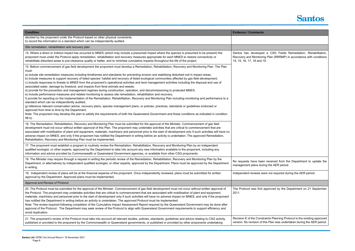

a CSG Fields Remediation, Rehabilitation, Plan (RRRMP) in accordance with conditions

received from the Department to update the f the AER period.

 $\epsilon$  not required during the AER period.

pproved by the Department on 21 September

 $\frac{1}{\pi}$  Planning Protocol is the existing approved is Plan was undertaken during the AER period.

| <b>Condition</b>                                                                                                                                                                                                                                                                                                                                                                                                                                                                                                                                                                                                                                                                                                                                                                                                                                                                                                                                                                                                                                                                                                                                                                                                                                                                                                                                                                                                                                                                                                                                                                                                                                                                                           | <b>Evidence / Comments</b>                                                    |
|------------------------------------------------------------------------------------------------------------------------------------------------------------------------------------------------------------------------------------------------------------------------------------------------------------------------------------------------------------------------------------------------------------------------------------------------------------------------------------------------------------------------------------------------------------------------------------------------------------------------------------------------------------------------------------------------------------------------------------------------------------------------------------------------------------------------------------------------------------------------------------------------------------------------------------------------------------------------------------------------------------------------------------------------------------------------------------------------------------------------------------------------------------------------------------------------------------------------------------------------------------------------------------------------------------------------------------------------------------------------------------------------------------------------------------------------------------------------------------------------------------------------------------------------------------------------------------------------------------------------------------------------------------------------------------------------------------|-------------------------------------------------------------------------------|
| decided by the proponent under the Protocol based on other physical constraints.<br>b) record the information to a standard which can be independently audited.                                                                                                                                                                                                                                                                                                                                                                                                                                                                                                                                                                                                                                                                                                                                                                                                                                                                                                                                                                                                                                                                                                                                                                                                                                                                                                                                                                                                                                                                                                                                            |                                                                               |
| Site remediation, rehabilitation and recovery plan                                                                                                                                                                                                                                                                                                                                                                                                                                                                                                                                                                                                                                                                                                                                                                                                                                                                                                                                                                                                                                                                                                                                                                                                                                                                                                                                                                                                                                                                                                                                                                                                                                                         |                                                                               |
| 14. Where a direct or indirect impact has occurred to MNES (which may include a presumed impact where the species is presumed to be present) the<br>proponent must under the Protocol apply remediation, rehabilitation and recovery measures appropriate for each MNES to restore connectivity or<br>rehabilitate disturbed areas to pre-clearance quality or better, and to minimise cumulative impacts throughout the life of the project.                                                                                                                                                                                                                                                                                                                                                                                                                                                                                                                                                                                                                                                                                                                                                                                                                                                                                                                                                                                                                                                                                                                                                                                                                                                              | Santos has developed<br>Recovery and Monitoring<br>14, 15, 16, 17, 18 and 19. |
| 15. Before commencement of gas field development the proponent must develop a Remediation, Rehabilitation, Recovery and Monitoring Plan. The Plan<br>must:<br>a) include site remediation measures including timeframes and standards for preventing erosion and stabilising disturbed soil in impact areas;<br>b) include measures to support recovery of listed species' habitat and recovery of listed ecological communities affected by gas field development;<br>c) include responses to threats to MNES from the proponent's operational activities and land management activities including the disposal and use of<br>associated water, damage by livestock, and impacts from feral animals and weeds;<br>d) provide for fire prevention and management regimes during construction, operation, and decommissioning to protected MNES;<br>e) include performance measures and related monitoring to assess site remediation, rehabilitation and recovery;<br>f) provide for reporting on the implementation of the Remediation, Rehabilitation, Recovery and Monitoring Plan including monitoring and performance to a<br>standard which can be independently audited;<br>g) reference relevant conservation advice, recovery plans, species management plans, or policies, practices, standards or guidelines endorsed or<br>approved from time to time by the Department.<br>Note: The proponent may develop the plan to satisfy the requirements of both the Queensland Government and these conditions as indicated in condition<br>98 b).<br>16. The Remediation, Rehabilitation, Recovery and Monitoring Plan must be submitted for the approval of the Minister. Commencement of gas field |                                                                               |
| development must not occur without written approval of this Plan. The proponent may undertake activities that are critical to commencement that are<br>associated with mobilisation of plant and equipment, materials, machinery and personnel prior to the start of development only if such activities will have no<br>adverse impact on MNES, and only if the proponent has notified the Department in writing before an activity is undertaken. The approved Remediation,<br>Rehabilitation, Recovery and Monitoring Plan must be implemented.                                                                                                                                                                                                                                                                                                                                                                                                                                                                                                                                                                                                                                                                                                                                                                                                                                                                                                                                                                                                                                                                                                                                                         |                                                                               |
| 17. The proponent must establish a program to routinely review the Remediation, Rehabilitation, Recovery and Monitoring Plan by an independent<br>qualified ecologist, or other experts, approved by the Department to take into account any new information available to the proponent, including any<br>information and advice provided by Commonwealth or Queensland Government agencies, or available from other CSG proponents.                                                                                                                                                                                                                                                                                                                                                                                                                                                                                                                                                                                                                                                                                                                                                                                                                                                                                                                                                                                                                                                                                                                                                                                                                                                                       |                                                                               |
| 18. The Minister may require through a request in writing the periodic review of the Remediation, Rehabilitation, Recovery and Monitoring Plan by the<br>Department; or alternatively by independent qualified ecologist, or other experts, approved by the Department. Plans must be approved by the Department<br>in writing.                                                                                                                                                                                                                                                                                                                                                                                                                                                                                                                                                                                                                                                                                                                                                                                                                                                                                                                                                                                                                                                                                                                                                                                                                                                                                                                                                                            | No requests have been i<br>management plans during                            |
| 19. Independent review of plans will be at the financial expense of the proponent. Once independently reviewed, plans must be submitted for written<br>approval by the Department. Approved plans must be implemented.                                                                                                                                                                                                                                                                                                                                                                                                                                                                                                                                                                                                                                                                                                                                                                                                                                                                                                                                                                                                                                                                                                                                                                                                                                                                                                                                                                                                                                                                                     | Independent reviews were                                                      |
| Approval and Review of Protocol                                                                                                                                                                                                                                                                                                                                                                                                                                                                                                                                                                                                                                                                                                                                                                                                                                                                                                                                                                                                                                                                                                                                                                                                                                                                                                                                                                                                                                                                                                                                                                                                                                                                            |                                                                               |
| 20. The Protocol must be submitted for the approval of the Minister. Commencement of gas field development must not occur without written approval of<br>the Protocol. The proponent may undertake activities that are critical to commencement that are associated with mobilisation of plant and equipment,<br>materials, machinery and personnel prior to the start of development only if such activities will have no adverse impact on MNES, and only if the proponent<br>has notified the Department in writing before an activity is undertaken. The approved Protocol must be implemented.<br>Note: The review required following completion of the Cumulative Impact Assessment Report required by the Queensland Government may be done after<br>approval of the Protocol. The Department may seek review of the Protocol to align with Queensland Government requirements to support efficiency and<br>avoid duplication.                                                                                                                                                                                                                                                                                                                                                                                                                                                                                                                                                                                                                                                                                                                                                                      | The Protocol was first ap<br>2011.                                            |
| 21. The proponent's review of the Protocol must take into account all relevant studies, policies, standards, guidelines and advice relating to CSG activity<br>published or provided to the proponent by the Commonwealth or Queensland governments, or published or provided by other proponents undertaking                                                                                                                                                                                                                                                                                                                                                                                                                                                                                                                                                                                                                                                                                                                                                                                                                                                                                                                                                                                                                                                                                                                                                                                                                                                                                                                                                                                              | Revision E of the Constrai<br>version. No revision of this                    |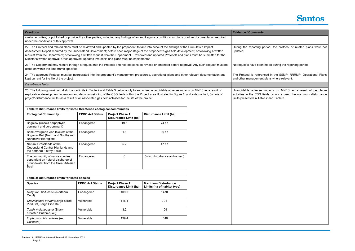

iod, the protocol or related plans were not

ade during the reporting period

d in the SSMP, RRRMP, Operational Plans ans where relevant.

pacts on MNES as a result of petroleum ds do not exceed the maximum disturbance 2 and Table 3.

| <b>Condition</b>                                                                                                                                                                                                                                                                                                                                                                                                                                                                                                                                         |                        |                                                         |                                                           | <b>Evidence / Comments</b>                                                            |
|----------------------------------------------------------------------------------------------------------------------------------------------------------------------------------------------------------------------------------------------------------------------------------------------------------------------------------------------------------------------------------------------------------------------------------------------------------------------------------------------------------------------------------------------------------|------------------------|---------------------------------------------------------|-----------------------------------------------------------|---------------------------------------------------------------------------------------|
| similar activities, or published or provided by other parties, including any findings of an audit against conditions, or plans or other documentation required<br>under the conditions of this approval.                                                                                                                                                                                                                                                                                                                                                 |                        |                                                         |                                                           |                                                                                       |
| 22. The Protocol and related plans must be reviewed and updated by the proponent: to take into account the findings of the Cumulative Impact<br>Assessment Report required by the Queensland Government; before each major stage of the proponent's gas field development; or following a written<br>request from the Department; or following a written request from the Department. Reviewed and updated Protocols and plans must be submitted for the<br>Minister's written approval. Once approved, updated Protocols and plans must be implemented. |                        |                                                         |                                                           | During the reporting perio<br>updated.                                                |
| 23. The Department may require through a request that the Protocol and related plans be revised or amended before approval. Any such request must be<br>acted on within the time frame specified.                                                                                                                                                                                                                                                                                                                                                        |                        |                                                         |                                                           | No requests have been ma                                                              |
| 24. The approved Protocol must be incorporated into the proponent's management procedures, operational plans and other relevant documentation and<br>kept current for the life of the project.                                                                                                                                                                                                                                                                                                                                                           |                        |                                                         |                                                           | The Protocol is referenced<br>and other management pla                                |
| <b>Disturbance limits</b>                                                                                                                                                                                                                                                                                                                                                                                                                                                                                                                                |                        |                                                         |                                                           |                                                                                       |
| 25. The following maximum disturbance limits in Table 2 and Table 3 below apply to authorised unavoidable adverse impacts on MNES as a result of<br>exploration, development, operation and decommissioning of the CSG fields within the Project area illustrated in Figure 1, and external to it, ('whole of<br>project' disturbance limits) as a result of all associated gas field activities for the life of the project.<br>Table 2: Disturbance limits for listed threatened ecological communities                                                |                        |                                                         |                                                           | Unavoidable adverse imp<br>activities in the CSG field<br>limits presented in Table 2 |
| <b>Ecological Community</b>                                                                                                                                                                                                                                                                                                                                                                                                                                                                                                                              | <b>EPBC Act Status</b> | <b>Project Phase 1</b><br><b>Disturbance Limit (ha)</b> | <b>Disturbance Limit (ha)</b>                             |                                                                                       |
| Brigalow (Acacia harpophylla<br>dominant and co-dominant)                                                                                                                                                                                                                                                                                                                                                                                                                                                                                                | Endangered             | 19.6                                                    | 74 ha                                                     |                                                                                       |
| Semi-evergreen vine thickets of the<br>Brigalow Belt (North and South) and<br>Nandewar Bioregions                                                                                                                                                                                                                                                                                                                                                                                                                                                        | Endangered             | 1.8                                                     | 99 ha                                                     |                                                                                       |
| Natural Grasslands of the<br>Queensland Central Highlands and<br>the northern Fitzroy Basin                                                                                                                                                                                                                                                                                                                                                                                                                                                              | Endangered             | 5.2                                                     | 47 ha                                                     |                                                                                       |
| The community of native species<br>dependent on natural discharge of<br>groundwater from the Great Artesian<br>Basin                                                                                                                                                                                                                                                                                                                                                                                                                                     | Endangered             | 0                                                       | 0 (No disturbance authorised)                             |                                                                                       |
| Table 3: Disturbance limits for listed species                                                                                                                                                                                                                                                                                                                                                                                                                                                                                                           |                        |                                                         |                                                           |                                                                                       |
| <b>Species</b>                                                                                                                                                                                                                                                                                                                                                                                                                                                                                                                                           | <b>EPBC Act Status</b> | <b>Project Phase 1</b><br><b>Disturbance Limit (ha)</b> | <b>Maximum Disturbance</b><br>Limits (ha of habitat type) |                                                                                       |
| Dasyurus hallucatus (Northern<br>Quoll)                                                                                                                                                                                                                                                                                                                                                                                                                                                                                                                  | Endangered             | 109.3                                                   | 1470                                                      |                                                                                       |
| Chalinolobus dwyeri (Large-eared<br>Pied Bat, Large Pied Bat)                                                                                                                                                                                                                                                                                                                                                                                                                                                                                            | Vulnerable             | 116.4                                                   | 701                                                       |                                                                                       |
| Turnix melanogaster (Black-<br>breasted Button-quail)                                                                                                                                                                                                                                                                                                                                                                                                                                                                                                    | Vulnerable             | 3.2                                                     | 109                                                       |                                                                                       |
| Erythrotriorchis radiatus (red<br>Goshawk)                                                                                                                                                                                                                                                                                                                                                                                                                                                                                                               | Vulnerable             | 139.4                                                   | 1010                                                      |                                                                                       |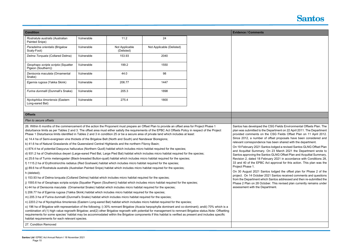

**CSG Fields Environmental Offsets Plan. The** Department on 22 April 2011. The Department ne CSG Fields Offset Plan on 11 April 2012. offset proposals have been considered and has been shared with the department.

tos lodged a revised Santos GLNG Offset Plan On 23 March 2021 the Department wrote to tos GLNG Offset Plan and Acquittal Summary, ruary 2021 in accordance with Conditions 28, Act approval for this action. This plan was the

tos lodged the offset plan for Phase 2 of the 021 Santos received comments and questions h Santos addressed and then re-submitted the ber. This revised plan currently remains under artment.

| <b>Condition</b>                                                                                                                                                                                                                                                                                                                                                                                                                                                                                                                                               |            |                              |                           | <b>Evidence / Comments</b>                                                                                                                 |
|----------------------------------------------------------------------------------------------------------------------------------------------------------------------------------------------------------------------------------------------------------------------------------------------------------------------------------------------------------------------------------------------------------------------------------------------------------------------------------------------------------------------------------------------------------------|------------|------------------------------|---------------------------|--------------------------------------------------------------------------------------------------------------------------------------------|
| Rostratula australis (Australian<br>Painted Snipe)                                                                                                                                                                                                                                                                                                                                                                                                                                                                                                             | Vulnerable | 11.2                         | 24                        |                                                                                                                                            |
| Paradelma orientalis (Brigalow<br>Scaly-Foot)                                                                                                                                                                                                                                                                                                                                                                                                                                                                                                                  | Vulnerable | Not Applicable<br>(Delisted) | Not Applicable (Delisted) |                                                                                                                                            |
| Delma Torquata (Collared Delma)                                                                                                                                                                                                                                                                                                                                                                                                                                                                                                                                | Vulnerable | 153.93                       | 2040                      |                                                                                                                                            |
| Geophaps scripta scripta (Squatter<br>Pigeon (Southern))                                                                                                                                                                                                                                                                                                                                                                                                                                                                                                       | Vulnerable | 199.2                        | 1550                      |                                                                                                                                            |
| Denisonia maculata (Ornamental<br>Snake)                                                                                                                                                                                                                                                                                                                                                                                                                                                                                                                       | Vulnerable | 44.0                         | 98                        |                                                                                                                                            |
| Egernia rugosa (Yakka Skink)                                                                                                                                                                                                                                                                                                                                                                                                                                                                                                                                   | Vulnerable | 206.77                       | 1447                      |                                                                                                                                            |
| Furina dunmalli (Dunmall's Snake)                                                                                                                                                                                                                                                                                                                                                                                                                                                                                                                              | Vulnerable | 205.3                        | 1898                      |                                                                                                                                            |
| Nyctophilus timoriensis (Eastern<br>Long-eared Bat)                                                                                                                                                                                                                                                                                                                                                                                                                                                                                                            | Vulnerable | 275.4                        | 1800                      |                                                                                                                                            |
|                                                                                                                                                                                                                                                                                                                                                                                                                                                                                                                                                                |            |                              |                           |                                                                                                                                            |
| <b>Offsets</b>                                                                                                                                                                                                                                                                                                                                                                                                                                                                                                                                                 |            |                              |                           |                                                                                                                                            |
| Plan to secure offsets                                                                                                                                                                                                                                                                                                                                                                                                                                                                                                                                         |            |                              |                           |                                                                                                                                            |
| 26. Within 6 months of the commencement of the action the Proponent must prepare an Offset Plan to provide an offset area for Project Phase 1<br>disturbance limits as per Tables 2 and 3. The offset area must either satisfy the requirements of the EPBC Act Offsets Policy in respect of the Project<br>Phase 1 Disturbance limits identified in Tables 2 and 3 in condition 25 or be a secure area of private land which includes at least:<br>a) 14.4 ha of Semi-evergreen vine thickets of the Brigalow Belt (North and South) and Nandewar Bioregions; |            |                              |                           | Santos has developed the<br>plan was submitted to the I<br>provided comments on th<br>Since 2012, a number of<br>relevant correspondence h |
| b) 41.6 ha of Natural Grasslands of the Queensland Central Highlands and the northern Fitzroy Basin;                                                                                                                                                                                                                                                                                                                                                                                                                                                           |            |                              |                           | On 19 February 2021 Sant                                                                                                                   |
| c) 874.4 ha of potential Dasyurus hallucatus (Northern Quoll) habitat which includes micro habitat required for the species;                                                                                                                                                                                                                                                                                                                                                                                                                                   |            |                              |                           | and Acquittal Summary. (                                                                                                                   |
| d) 931.2 ha of Chalinolobus dwyeri (Large-eared Pied Bat, Large Pied Bat) habitat which includes micro habitat required for the species;                                                                                                                                                                                                                                                                                                                                                                                                                       |            |                              |                           | Santos approving the Sant                                                                                                                  |
| e) 25.6 ha of Turnix melanogaster (Black-breasted Button-quail) habitat which includes micro habitat required for the species;                                                                                                                                                                                                                                                                                                                                                                                                                                 |            |                              |                           | Revision 2, dated 18 Febr                                                                                                                  |
| f) 1115.2 ha of Erythrotriorchis radiatus (Red Goshawk) habitat which includes micro habitat required for the species;                                                                                                                                                                                                                                                                                                                                                                                                                                         |            |                              |                           | 33 and 40 of the EPBC A<br>Project Phase 1.                                                                                                |
| g) 89.6 ha of Rostratula australis (Australian Painted Snipe) habitat which includes micro habitat required for the species;                                                                                                                                                                                                                                                                                                                                                                                                                                   |            |                              |                           | On 30 August 2021 Santo                                                                                                                    |
| h (deleted);                                                                                                                                                                                                                                                                                                                                                                                                                                                                                                                                                   |            |                              |                           | project. On 14 October 20                                                                                                                  |
| i) 153.93 ha of Delma torquata (Collared Delma) habitat which includes micro habitat required for the species;                                                                                                                                                                                                                                                                                                                                                                                                                                                 |            |                              |                           | from the Department which                                                                                                                  |
| j) 1593.6 ha of Geophaps scripta scripta (Squatter Pigeon (Southern)) habitat which includes micro habitat required for the species;                                                                                                                                                                                                                                                                                                                                                                                                                           |            |                              |                           | Phase 2 Plan on 28 Octob                                                                                                                   |
| k) 44 ha of Denisonia maculata (Ornamental Snake) habitat which includes micro habitat required for the species;                                                                                                                                                                                                                                                                                                                                                                                                                                               |            |                              |                           | assessment with the Depa                                                                                                                   |
| I) 206.77 ha of Egernia rugosa (Yakka Skink) habitat which includes micro habitat required for the species;                                                                                                                                                                                                                                                                                                                                                                                                                                                    |            |                              |                           |                                                                                                                                            |
| m) 205.3 ha of Furina dunmalli (Dunmall's Snake) habitat which includes micro habitat required for the species;                                                                                                                                                                                                                                                                                                                                                                                                                                                |            |                              |                           |                                                                                                                                            |
| n) 2203.2 ha of Nyctophilus timoriensis (Eastern Long-eared Bat) habitat which includes micro habitat required for the species;                                                                                                                                                                                                                                                                                                                                                                                                                                |            |                              |                           |                                                                                                                                            |
| o) 196 ha of Brigalow with representation of the following; i) 30% remnant Brigalow (Acacia harpophylla dominant and co-dominant); andii) 70% which is a<br>combination of:(1) high value regrowth Brigalow; and(2) other Brigalow regrowth with potential for management to remnant Brigalow status. Note: Offsetting<br>requirements for some species' habitat may be accommodated within the Brigalow components if this habitat is verified as present and includes specific<br>habitat requirements for each relevant species.                            |            |                              |                           |                                                                                                                                            |

27. Condition Removed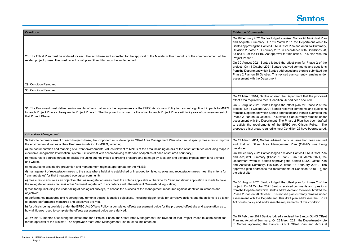

os lodged a revised Santos GLNG Offset Plan On 23 March 2021 the Department wrote to os GLNG Offset Plan and Acquittal Summary, uary 2021 in accordance with Conditions 28, ct approval for this action. This plan was the

os lodged the offset plan for Phase 2 of the 21 Santos received comments and questions Santos addressed and then re-submitted the er. This revised plan currently remains under rtment

os advised the Department that the proposed et Condition 26 had been secured.

os lodged the offset plan for Phase 2 of the 21 Santos received comments and questions Santos addressed and then re-submitted the er. This revised plan currently remains under artment. The Phase 2 Plan has been drafted its of the EPBC Act Offsets Policy. The ired to meet Condition 26 have been secured.

os advised the offset area had been secured a Management Plan (OAMP) was being

os lodged a revised Santos GLNG Offset Plan Phase 1 Plan). On 23 March 2021, the os approving the Santos GLNG Offset Plan Revision 2, dated 18 February 2021. The the requirements of Condition 32 a) – g) for

os lodged the offset plan for Phase 2 of the 21 Santos received comments and questions Santos addressed and then re-submitted the er. This revised plan currently remains under artment. This draft plan addresses the EPBC esses the requirements of this condition.

tos lodged a revised the Santos GLNG Offset ry. On 23 March 2021, the Department wrote Santos GLNG Offset Plan and Acquittal

| <b>Condition</b>                                                                                                                                                                                                                                                                                                                                                                                                                                                                                                                                                                                                                                                                                                                                                                                                                                                                                                                                                                                                                                                                                                                                                                                                                                                                                                                                                                                                                                                                                                                                                                                                                                                                                                                                                                                                                                                                                                                                            | <b>Evidence / Comments</b>                                                                                                                                                                                                                                                                                                                                                                                         |
|-------------------------------------------------------------------------------------------------------------------------------------------------------------------------------------------------------------------------------------------------------------------------------------------------------------------------------------------------------------------------------------------------------------------------------------------------------------------------------------------------------------------------------------------------------------------------------------------------------------------------------------------------------------------------------------------------------------------------------------------------------------------------------------------------------------------------------------------------------------------------------------------------------------------------------------------------------------------------------------------------------------------------------------------------------------------------------------------------------------------------------------------------------------------------------------------------------------------------------------------------------------------------------------------------------------------------------------------------------------------------------------------------------------------------------------------------------------------------------------------------------------------------------------------------------------------------------------------------------------------------------------------------------------------------------------------------------------------------------------------------------------------------------------------------------------------------------------------------------------------------------------------------------------------------------------------------------------|--------------------------------------------------------------------------------------------------------------------------------------------------------------------------------------------------------------------------------------------------------------------------------------------------------------------------------------------------------------------------------------------------------------------|
| 28. The Offset Plan must be updated for each Project Phase and submitted for the approval of the Minister within 6 months of the commencement of the<br>related project phase. The most recent offset plan Offset Plan must be implemented.                                                                                                                                                                                                                                                                                                                                                                                                                                                                                                                                                                                                                                                                                                                                                                                                                                                                                                                                                                                                                                                                                                                                                                                                                                                                                                                                                                                                                                                                                                                                                                                                                                                                                                                 | On 19 February 2021 Santo<br>and Acquittal Summary. (<br>Santos approving the Santo<br>Revision 2, dated 18 Febru<br>33 and 40 of the EPBC Ad<br>Project Phase 1.<br>On 30 August 2021 Santo<br>project. On 14 October 202<br>from the Department which<br>Phase 2 Plan on 28 Octobe<br>assessment with the Depar                                                                                                  |
| 29. Condition Removed                                                                                                                                                                                                                                                                                                                                                                                                                                                                                                                                                                                                                                                                                                                                                                                                                                                                                                                                                                                                                                                                                                                                                                                                                                                                                                                                                                                                                                                                                                                                                                                                                                                                                                                                                                                                                                                                                                                                       |                                                                                                                                                                                                                                                                                                                                                                                                                    |
| 30. Condition Removed                                                                                                                                                                                                                                                                                                                                                                                                                                                                                                                                                                                                                                                                                                                                                                                                                                                                                                                                                                                                                                                                                                                                                                                                                                                                                                                                                                                                                                                                                                                                                                                                                                                                                                                                                                                                                                                                                                                                       |                                                                                                                                                                                                                                                                                                                                                                                                                    |
| 31. The Proponent must deliver environmental offsets that satisfy the requirements of the EPBC Act Offsets Policy for residual significant impacts to MNES<br>for each Project Phase subsequent to Project Phase 1. The Proponent must secure the offset for each Project Phase within 2 years of commencement of<br>that Project Phase.                                                                                                                                                                                                                                                                                                                                                                                                                                                                                                                                                                                                                                                                                                                                                                                                                                                                                                                                                                                                                                                                                                                                                                                                                                                                                                                                                                                                                                                                                                                                                                                                                    | On 19 March 2014, Santos<br>offset area required to mee<br>On 30 August 2021 Santo<br>project. On 14 October 202<br>from the Department which<br>Phase 2 Plan on 28 Octobe<br>assessment with the Depa<br>to satisfy the requirement<br>proposed offset areas requi                                                                                                                                                |
| <b>Offset Area Management</b>                                                                                                                                                                                                                                                                                                                                                                                                                                                                                                                                                                                                                                                                                                                                                                                                                                                                                                                                                                                                                                                                                                                                                                                                                                                                                                                                                                                                                                                                                                                                                                                                                                                                                                                                                                                                                                                                                                                               |                                                                                                                                                                                                                                                                                                                                                                                                                    |
| 32. Prior to commencement of each Project Phase, the Proponent must develop an Offset Area Management Plan which must specify measures to improve<br>the environmental values of the offset area in relation to MNES, including;<br>a) the documentation and mapping of current environmental values relevant to MNES of the area including details of the offset attributes (including maps in<br>electronic Geographic Information System (GIS) format with accompanying raster and shapefiles of each offset area boundary);<br>b) measures to address threats to MNES including but not limited to grazing pressure and damage by livestock and adverse impacts from feral animals<br>and weeds;<br>c) measures to provide fire prevention and management regimes appropriate for the MNES;<br>d) management of revegetation areas to the stage where habitat is established or improved for listed species and revegetation areas meet the criteria for<br>'remnant status' for that threatened ecological community;<br>e) measures to ensure as an objective, that as revegetation areas meet the criteria applicable at the time for 'remnant status' application is made to have<br>the revegetation areas reclassified as 'remnant vegetation' in accordance with the relevant Queensland legislation;<br>f) monitoring, including the undertaking of ecological surveys, to assess the success of the management measures against identified milestones and<br>objectives;<br>g) performance measures and reporting requirements against identified objectives, including trigger levels for corrective actions and the actions to be taken<br>to ensure performance measures and objectives are met.<br>h) for offsets being provided under the EPBC Act Offsets Policy, a completed offsets assessment guide for the proposed offset site and explanation as to<br>how all figures used to complete the offsets assessment guide were derived. | On 19 March 2014, Santos<br>and that an Offset Area<br>developed.<br>On 19 February 2021 Santo<br>and Acquittal Summary (<br>Department wrote to Sante<br>and Acquittal Summary, F<br>approved plan addresses t<br>the offset site.<br>On 30 August 2021 Santo<br>project. On 14 October 202<br>from the Department which<br>Phase 2 Plan on 28 Octobe<br>assessment with the Depa<br>Act offsets policy and addre |
| 33. Within 12 months of securing the offset area for a Project Phase, the Offset Area Management Plan revised for that Project Phase must be submitted<br>for the approval of the Minister. The approved Offset Area Management Plan must be implemented                                                                                                                                                                                                                                                                                                                                                                                                                                                                                                                                                                                                                                                                                                                                                                                                                                                                                                                                                                                                                                                                                                                                                                                                                                                                                                                                                                                                                                                                                                                                                                                                                                                                                                    | On 19 February 2021 Sant<br>Plan and Acquittal Summar<br>to Santos approving the                                                                                                                                                                                                                                                                                                                                   |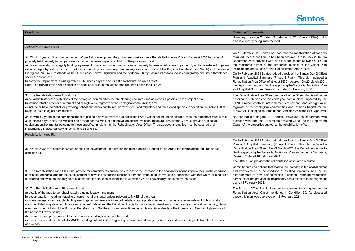

ted 18 February 2021 (Phase 1 Plan). This lemented.

os advised that the rehabilitation offset area 34 had been secured. On 29 May 2015, the with land title documents showing GLNG as the properties subject to the Offset Plan or the Rehabilitation Area Offset.

tos lodged a revised the Santos GLNG Offset ary (Phase 1 Plan). This plan included a of at least 1550 hectares. On 23 March 2021, antos approving the Santos GLNG Offset Plan evision 2, dated 18 February 2021.

fset discussed in the Offset Plan is within the he ecological communities impacted by the tact elements of remnant and /or high value communities and includes habitat for the ted under Condition 25 of the EPC Approval.

AER period. However, the Department was ocuments showing GLNG as the Registered bject to the rehabilitation offset.

tos lodged a revised the Santos GLNG Offset ary (Phase 1 Plan). This plan included a On 23 March 2021, the Department wrote to os GLNG Offset Plan and Acquittal Summary, ary 2021.

ne rehabilitation offset area required.

that lead to the increase in the spatial extent condition of existing remnants, and for the f-sustaining functional 'remnant vegetation' in the property scale offset area management

ncludes all the relevant items required for the mentioned in Condition 39. As discussed ved on 18 February 2021.

| <b>Condition</b>                                                                                                                                                                                                                                                                                                                                                                                                                                                                                                                                                                                                                                                                                                                                                                                                                                                                                                                                                                             | <b>Evidence / Comments</b>                                                                                                                                                                                                                                                                   |
|----------------------------------------------------------------------------------------------------------------------------------------------------------------------------------------------------------------------------------------------------------------------------------------------------------------------------------------------------------------------------------------------------------------------------------------------------------------------------------------------------------------------------------------------------------------------------------------------------------------------------------------------------------------------------------------------------------------------------------------------------------------------------------------------------------------------------------------------------------------------------------------------------------------------------------------------------------------------------------------------|----------------------------------------------------------------------------------------------------------------------------------------------------------------------------------------------------------------------------------------------------------------------------------------------|
|                                                                                                                                                                                                                                                                                                                                                                                                                                                                                                                                                                                                                                                                                                                                                                                                                                                                                                                                                                                              | Summary, Revision 2, date<br>plan is currently being impl                                                                                                                                                                                                                                    |
| <b>Rehabilitation Area Offset</b>                                                                                                                                                                                                                                                                                                                                                                                                                                                                                                                                                                                                                                                                                                                                                                                                                                                                                                                                                            |                                                                                                                                                                                                                                                                                              |
| 34. Within 2 years of the commencement of gas field development the proponent must secure a Rehabilitation Area Offset of at least 1550 hectares of<br>privately held property to compensate for indirect adverse impacts on MNES. The proponent must:<br>a) obtain ownership or a legally binding agreement from a landowner over an area of property to re-establish areas in perpetuity of the threatened Brigalow<br>(Acacia harpophylla dominant and co-dominant) ecological community, Semi-evergreen vine thickets of the Brigalow Belt (North and South) and Nandewar<br>Bioregions, Natural Grasslands of the Queensland Central Highlands and the northern Fitzroy Basin and associated listed migratory and listed threatened<br>species' habitat; and<br>b) notify the Department in writing within 30 business days of securing the Rehabilitation Area Offset.<br>Note: The Rehabilitation Area Offset is an additional area to the Offset area required under condition 26.   | On 19 March 2014, Santo<br>required under Condition 3<br>Department was provided<br>the registered owner of<br>including the areas used fo<br>On 19 February 2021 Sant<br>Plan and Acquittal Summ<br>Rehabilitation Area Offset o<br>the Department wrote to Sa<br>and Acquittal Summary, Re |
| 35. The Rehabilitation Area Offset must:<br>a) be within historical distributions of the ecological communities (before clearing occurred) and as close as possible to the project area;<br>b) include intact elements of remnant and/or high value regrowth of the ecological communities; and<br>c) include or have potential for providing habitat and micro habitat requirements for listed migratory and threatened species in condition 25, Table 4, that<br>relate to the ecological communities).                                                                                                                                                                                                                                                                                                                                                                                                                                                                                    | The Rehabilitation Area Off<br>historical distributions of th<br>GLNG Project, contains in<br>regrowth of the ecological<br>EPBC Act listed species lis                                                                                                                                      |
| 36. If, within 2 years of the commencement of gas field development the Rehabilitation Area Offset has not been secured, then the proponent must within<br>30 business days, notify the Minister and provide for the Minister's approval an alternative offset measure. The alternative must provide at least an<br>equivalent environmental outcome to those specified in relation to the Rehabilitation Area Offset. The approved alternative must be secured and<br>implemented in accordance with conditions 34 and 35.                                                                                                                                                                                                                                                                                                                                                                                                                                                                  | Not applicable during the /<br>provided with land title Do<br>Owner of the properties sul                                                                                                                                                                                                    |
| <b>Rehabilitation Area Plan</b>                                                                                                                                                                                                                                                                                                                                                                                                                                                                                                                                                                                                                                                                                                                                                                                                                                                                                                                                                              |                                                                                                                                                                                                                                                                                              |
| 37. Within 2 years of commencement of gas field development, the proponent must prepare a Rehabilitation Area Plan for the offset required under<br>condition 34.                                                                                                                                                                                                                                                                                                                                                                                                                                                                                                                                                                                                                                                                                                                                                                                                                            | On 19 February 2021 Sant<br>Plan and Acquittal Summ<br>Rehabilitation Area Offset.<br>Santos approving the Santo<br>Revision 2, dated 18 Febru<br>The Offset Plan provides th                                                                                                                |
| 38. The Rehabilitation Area Plan must provide for commitments and actions to lead to the increase in the spatial extent and improvement in the condition<br>of existing remnants, and for the establishment of new self sustaining functional 'remnant vegetation' communities, consistent with that which existed prior<br>to clearing and with the capacity to provide habitat for the species identified in condition 25, as unavoidably impacted by the action.                                                                                                                                                                                                                                                                                                                                                                                                                                                                                                                          | Commitments and actions<br>and improvement in the o<br>establishment of new self<br>communities are provided i<br>plans 18 February 2021.                                                                                                                                                    |
| 39. The Rehabilitation Area Plan must include:<br>a) details of the area to be rehabilitated including location and maps;<br>b) documentation including mapping of current environmental values relevant to MNES of the area;<br>c) where revegetation through planting seedlings and/or seeds is intended details of appropriate species and ratios of species relevant to historically<br>occurring listed migratory and threatened species' habitat and the Brigalow (Acacia harpophylla dominant and co-dominant) ecological community; Semi-<br>evergreen vine thickets of the Brigalow Belt (North and South) and Nandewar Bioregions; Natural Grasslands of the Queensland Central Highlands and<br>the northern Fitzroy Basin;<br>d) the source and provenance of the seed and/or seedlings which will be used;<br>e) measures to address threats to MNES including but not limited to grazing pressure and damage by livestock and adverse impacts from feral animals<br>and weeds; | The Phase 1 Offset Plan in<br>Rehabilitation Area Offset<br>above this plan was approv                                                                                                                                                                                                       |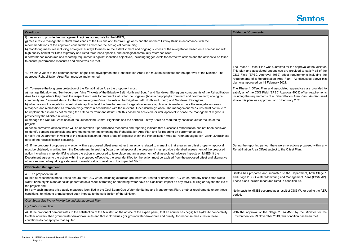

vas submitted for the approval of the Minister. appendices are provided to satisfy all of the val 4059) offset requirements including the litation Area Plan. As discussed above this ebruary 2021.

and associated appendices are provided to I (EPBC Approval 4059) offset requirements of a Rehabilitation Area Plan. As discussed ved on 18 February 2021.

I, there were no actions proposed within any subject to the Offset Plan.

submitted to the Department, both Stage 1 onitoring and Management Plans (CWMMP). ures listed in condition 43.

red as a result of CSG Water during the AER

Stage 2 CWMMP by the Minister for the ber 2013, this condition has been met.

| <b>Condition</b>                                                                                                                                                                                                                                                                                                                                                                                                                                                                                                                                                                                                                                                                                                                                                                                                                                                                                                                                                                                                                                                                                                                                                                                                                                                                                                                                                                                                                                                                                                                                                                                                                                                                                                                                         | <b>Evidence / Comments</b>                                                                                                                   |
|----------------------------------------------------------------------------------------------------------------------------------------------------------------------------------------------------------------------------------------------------------------------------------------------------------------------------------------------------------------------------------------------------------------------------------------------------------------------------------------------------------------------------------------------------------------------------------------------------------------------------------------------------------------------------------------------------------------------------------------------------------------------------------------------------------------------------------------------------------------------------------------------------------------------------------------------------------------------------------------------------------------------------------------------------------------------------------------------------------------------------------------------------------------------------------------------------------------------------------------------------------------------------------------------------------------------------------------------------------------------------------------------------------------------------------------------------------------------------------------------------------------------------------------------------------------------------------------------------------------------------------------------------------------------------------------------------------------------------------------------------------|----------------------------------------------------------------------------------------------------------------------------------------------|
| f) measures to provide fire management regimes appropriate for the MNES;<br>g) measures to manage the Natural Grasslands of the Queensland Central Highlands and the northern Fitzroy Basin in accordance with the<br>recommendations of the approved conservation advice for the ecological community;<br>h) monitoring measures including ecological surveys to measure the establishment and ongoing success of the revegetation based on a comparison with<br>high quality habitat for listed migratory and listed threatened species, and ecological community reference sites;<br>i) performance measures and reporting requirements against identified objectives, including trigger levels for corrective actions and the actions to be taken<br>to ensure performance measures and objectives are met.                                                                                                                                                                                                                                                                                                                                                                                                                                                                                                                                                                                                                                                                                                                                                                                                                                                                                                                                          |                                                                                                                                              |
| 40. Within 2 years of the commencement of gas field development the Rehabilitation Area Plan must be submitted for the approval of the Minister. The<br>approved Rehabilitation Area Plan must be implemented.                                                                                                                                                                                                                                                                                                                                                                                                                                                                                                                                                                                                                                                                                                                                                                                                                                                                                                                                                                                                                                                                                                                                                                                                                                                                                                                                                                                                                                                                                                                                           | The Phase 1 Offset Plan w<br>This plan and associated a<br>CSG Field (EPBC Approv<br>requirements of a Rehabili<br>plan was approved on 18 F |
| 41. To ensure the long term protection of the Rehabilitation Area the proponent must:<br>a) manage Brigalow and Semi-evergreen Vine Thickets of the Brigalow Belt (North and South) and Nandewar Bioregions components of the Rehabilitation<br>Area to a stage where they meet the respective criteria for 'remnant status' for the Brigalow (Acacia harpophylla dominant and co-dominant) ecological<br>community and 'remnant status' for the Semi-evergreen Vine Thickets of the Brigalow Belt (North and South) and Nandewar Bioregions;<br>b) When areas of revegetation meet criteria applicable at the time for 'remnant vegetation' ensure application is made to have the revegetation areas<br>remapped and reclassified as 'remnant vegetation' in accordance with the relevant Queensland legislation. The management measures must continue to<br>be implemented in areas not meeting the criteria for 'remnant status' until this has been achieved (or until approval to cease the management regime is<br>provided by the Minister in writing);<br>c) manage the Natural Grasslands of the Queensland Central Highlands and the northern Fitzroy Basin as required by condition 39 for the life of the<br>project;<br>d) define corrective actions which will be undertaken if performance measures and reporting indicate that successful rehabilitation has not been achieved;<br>e) identify persons responsible and arrangements for implementing the Rehabilitation Area Plan and for reporting on performance; and<br>f) notify the Department in writing of the reclassification of those areas of Brigalow within the Rehabilitation Area as 'remnant vegetation' within 30 business<br>days of the reclassification occurring. | The Phase 1 Offset Plan<br>satisfy all of the CSG Field<br>including the requirements<br>above this plan was approv                          |
| 42. If the proponent proposes any action within a proposed offset area, other than actions related to managing that area as an offset property, approval<br>must be obtained, in writing from the Department. In seeking Departmental approval the proponent must provide a detailed assessment of the proposed<br>action including a map identifying where the action is proposed to take place and an assessment of all associated adverse impacts on MNES. If the<br>Department agrees to the action within the proposed offset site, the area identified for the action must be excised from the proposed offset and alternative<br>offsets secured of equal or greater environmental value in relation to the impacted MNES.                                                                                                                                                                                                                                                                                                                                                                                                                                                                                                                                                                                                                                                                                                                                                                                                                                                                                                                                                                                                                        | During the reporting period<br>Rehabilitation Area Offset s                                                                                  |
| <b>CSG Water Management</b>                                                                                                                                                                                                                                                                                                                                                                                                                                                                                                                                                                                                                                                                                                                                                                                                                                                                                                                                                                                                                                                                                                                                                                                                                                                                                                                                                                                                                                                                                                                                                                                                                                                                                                                              |                                                                                                                                              |
| 43. The proponent must:<br>a) take all reasonable measures to ensure that CSG water, including extracted groundwater, treated or amended CSG water, and any associated waste<br>water, brine crystals and/or solids generated as a result of treating or amending water have no significant impact on any MNES during or beyond the life of<br>the project; and                                                                                                                                                                                                                                                                                                                                                                                                                                                                                                                                                                                                                                                                                                                                                                                                                                                                                                                                                                                                                                                                                                                                                                                                                                                                                                                                                                                          | Santos has prepared and<br>and Stage 2 CSG Water Mo<br>These plans include measu                                                             |
| b) if any such impacts arise apply measures identified in the Coal Seam Gas Water Monitoring and Management Plan, or other requirements under these<br>conditions, to mitigate or make good such impacts to the satisfaction of the Minister.                                                                                                                                                                                                                                                                                                                                                                                                                                                                                                                                                                                                                                                                                                                                                                                                                                                                                                                                                                                                                                                                                                                                                                                                                                                                                                                                                                                                                                                                                                            | No impacts to MNES occur<br>period.                                                                                                          |
| Coal Seam Gas Water Monitoring and Management Plan                                                                                                                                                                                                                                                                                                                                                                                                                                                                                                                                                                                                                                                                                                                                                                                                                                                                                                                                                                                                                                                                                                                                                                                                                                                                                                                                                                                                                                                                                                                                                                                                                                                                                                       |                                                                                                                                              |
| <b>Hydraulic connection</b>                                                                                                                                                                                                                                                                                                                                                                                                                                                                                                                                                                                                                                                                                                                                                                                                                                                                                                                                                                                                                                                                                                                                                                                                                                                                                                                                                                                                                                                                                                                                                                                                                                                                                                                              |                                                                                                                                              |
| 44. If the proponent demonstrates to the satisfaction of the Minister, on the advice of the expert panel, that an aquifer has negligible hydraulic connectivity<br>to other aquifers, then groundwater drawdown limits and threshold values (for groundwater drawdown and quality) for response measures in these<br>conditions do not apply to that aquifer.                                                                                                                                                                                                                                                                                                                                                                                                                                                                                                                                                                                                                                                                                                                                                                                                                                                                                                                                                                                                                                                                                                                                                                                                                                                                                                                                                                                            | With the approval of the<br>Environment on 29 Novem                                                                                          |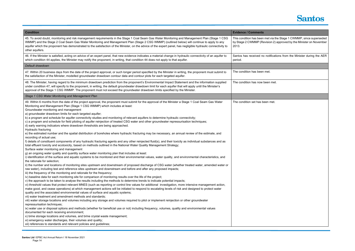

 $\overline{\text{et}}$  via the Stage 1 CWMMP, since superseded  $\sin 2$ ) approved by the Minister on November

otifications from the Minister during the AER

n met.

n met.

| <b>Condition</b>                                                                                                                                                                                                                                                                                                                                                                                                                                                                                                                                                                                                                                                                                                                                                                                                                                                                                                                                                                                                                                                                                                                                                                                                                                                                                                                                                                                                                                                                                                                                                                                                                                                                                                                                                                                                                                                                                                                                                                                                                                                                                                                                                                                                                                                                                                                                                                                                                                                                                                                                                                                                                                | <b>Evidence / Comments</b>                                          |
|-------------------------------------------------------------------------------------------------------------------------------------------------------------------------------------------------------------------------------------------------------------------------------------------------------------------------------------------------------------------------------------------------------------------------------------------------------------------------------------------------------------------------------------------------------------------------------------------------------------------------------------------------------------------------------------------------------------------------------------------------------------------------------------------------------------------------------------------------------------------------------------------------------------------------------------------------------------------------------------------------------------------------------------------------------------------------------------------------------------------------------------------------------------------------------------------------------------------------------------------------------------------------------------------------------------------------------------------------------------------------------------------------------------------------------------------------------------------------------------------------------------------------------------------------------------------------------------------------------------------------------------------------------------------------------------------------------------------------------------------------------------------------------------------------------------------------------------------------------------------------------------------------------------------------------------------------------------------------------------------------------------------------------------------------------------------------------------------------------------------------------------------------------------------------------------------------------------------------------------------------------------------------------------------------------------------------------------------------------------------------------------------------------------------------------------------------------------------------------------------------------------------------------------------------------------------------------------------------------------------------------------------------|---------------------------------------------------------------------|
|                                                                                                                                                                                                                                                                                                                                                                                                                                                                                                                                                                                                                                                                                                                                                                                                                                                                                                                                                                                                                                                                                                                                                                                                                                                                                                                                                                                                                                                                                                                                                                                                                                                                                                                                                                                                                                                                                                                                                                                                                                                                                                                                                                                                                                                                                                                                                                                                                                                                                                                                                                                                                                                 |                                                                     |
| 45. To avoid doubt, monitoring and risk management requirements in the Stage 1 Coal Seam Gas Water Monitoring and Management Plan (Stage 1 CSG<br>WMMP) and the Stage 2 Coal Seam Gas Water Monitoring and Management Plan (Stage 2 CSG WMMP) (outlined below) will continue to apply to any<br>aquifer which the proponent has demonstrated to the satisfaction of the Minister, on the advice of the expert panel, has negligible hydraulic connectivity to<br>other aquifers.                                                                                                                                                                                                                                                                                                                                                                                                                                                                                                                                                                                                                                                                                                                                                                                                                                                                                                                                                                                                                                                                                                                                                                                                                                                                                                                                                                                                                                                                                                                                                                                                                                                                                                                                                                                                                                                                                                                                                                                                                                                                                                                                                                | This condition has been met y<br>by Stage 2 CWMMP (Revisio<br>2013. |
| 46. If the Minister is satisfied, acting on advice of an expert panel, that new evidence indicates a material change in hydraulic connectivity of an aquifer to<br>which condition 44 applies, the Minister may notify the proponent, in writing, that condition 44 does not apply to that aquifer.                                                                                                                                                                                                                                                                                                                                                                                                                                                                                                                                                                                                                                                                                                                                                                                                                                                                                                                                                                                                                                                                                                                                                                                                                                                                                                                                                                                                                                                                                                                                                                                                                                                                                                                                                                                                                                                                                                                                                                                                                                                                                                                                                                                                                                                                                                                                             | Santos has received no notif<br>period.                             |
| Default drawdown                                                                                                                                                                                                                                                                                                                                                                                                                                                                                                                                                                                                                                                                                                                                                                                                                                                                                                                                                                                                                                                                                                                                                                                                                                                                                                                                                                                                                                                                                                                                                                                                                                                                                                                                                                                                                                                                                                                                                                                                                                                                                                                                                                                                                                                                                                                                                                                                                                                                                                                                                                                                                                |                                                                     |
| 47. Within 20 business days from the date of the project approval, or such longer period specified by the Minister in writing, the proponent must submit to<br>the satisfaction of the Minister, modelled groundwater drawdown contour data and contour plots for each targeted aquifer.                                                                                                                                                                                                                                                                                                                                                                                                                                                                                                                                                                                                                                                                                                                                                                                                                                                                                                                                                                                                                                                                                                                                                                                                                                                                                                                                                                                                                                                                                                                                                                                                                                                                                                                                                                                                                                                                                                                                                                                                                                                                                                                                                                                                                                                                                                                                                        | The condition has been met.                                         |
| 48. The Minister, having regard to the minimum drawdown prediction from the proponent's Environmental Impact Statement and the information supplied<br>under condition 47, will specify to the proponent, in writing, the default groundwater drawdown limit for each aquifer that will apply until the Minister's<br>approval of the Stage 1 CSG WMMP. The proponent must not exceed the groundwater drawdown limits specified by the Minister.                                                                                                                                                                                                                                                                                                                                                                                                                                                                                                                                                                                                                                                                                                                                                                                                                                                                                                                                                                                                                                                                                                                                                                                                                                                                                                                                                                                                                                                                                                                                                                                                                                                                                                                                                                                                                                                                                                                                                                                                                                                                                                                                                                                                | The condition has now been                                          |
| Stage 1 CSG Water Monitoring and Management Plan                                                                                                                                                                                                                                                                                                                                                                                                                                                                                                                                                                                                                                                                                                                                                                                                                                                                                                                                                                                                                                                                                                                                                                                                                                                                                                                                                                                                                                                                                                                                                                                                                                                                                                                                                                                                                                                                                                                                                                                                                                                                                                                                                                                                                                                                                                                                                                                                                                                                                                                                                                                                |                                                                     |
| 49. Within 6 months from the date of the project approval, the proponent must submit for the approval of the Minister a Stage 1 Coal Seam Gas Water<br>Monitoring and Management Plan (Stage 1 CSG WMMP) which includes at least:<br>Groundwater monitoring and management<br>a) groundwater drawdown limits for each targeted aquifer;<br>b) a program and schedule for aquifer connectivity studies and monitoring of relevant aquifers to determine hydraulic connectivity;<br>c) a program and schedule for field piloting of aquifer reinjection of treated CSG water and other groundwater repressurisation techniques;<br>d) early warning indicators where drawdown thresholds are being approached.<br><b>Hydraulic fracturing</b><br>e) the estimated number and the spatial distribution of boreholes where hydraulic fracturing may be necessary, an annual review of the estimate, and<br>recording of actual use;<br>f) details of constituent components of any hydraulic fracturing agents and any other reinjected fluid(s), and their toxicity as individual substances and as<br>total effluent toxicity and ecotoxicity, based on methods outlined in the National Water Quality Management Strategy;<br>Surface water monitoring and management<br>g) an ongoing water quality and quantity surface water monitoring plan that includes at least:<br>i) identification of the surface and aquatic systems to be monitored and their environmental values, water quality, and environmental characteristics, and<br>the rationale for selection;<br>ii) the number and locations of monitoring sites upstream and downstream of proposed discharge of CSG water (whether treated water, amended water or<br>raw water), including test and reference sites upstream and downstream and before and after any proposed impacts;<br>iii) the frequency of the monitoring and rationale for the frequency;<br>iv) baseline data for each monitoring site for comparison of monitoring results over the life of the project;<br>v) the approach to be taken to analyse the results including the methods to determine trends to indicate potential impacts;<br>vi) threshold values that protect relevant MNES (such as reporting or control line values for additional investigation, more intensive management action,<br>make good, and cease operations) at which management actions will be initiated to respond to escalating levels of risk and designed to protect water<br>quality and the associated environmental values of surface and aquatic systems;<br>vii) water treatment and amendment methods and standards; | The condition set has been n                                        |
| viii) water storage locations and volumes including any storage and volumes required to pilot or implement reinjection or other groundwater<br>repressurisation techniques;<br>ix) water use or disposal options and methods (whether for beneficial use or not) including frequency, volumes, quality and environmental values<br>documented for each receiving environment;<br>x) brine storage locations and volumes, and brine crystal waste management;<br>xi) emergency water discharges, their volumes and quality;                                                                                                                                                                                                                                                                                                                                                                                                                                                                                                                                                                                                                                                                                                                                                                                                                                                                                                                                                                                                                                                                                                                                                                                                                                                                                                                                                                                                                                                                                                                                                                                                                                                                                                                                                                                                                                                                                                                                                                                                                                                                                                                      |                                                                     |
| xii) references to standards and relevant policies and guidelines;                                                                                                                                                                                                                                                                                                                                                                                                                                                                                                                                                                                                                                                                                                                                                                                                                                                                                                                                                                                                                                                                                                                                                                                                                                                                                                                                                                                                                                                                                                                                                                                                                                                                                                                                                                                                                                                                                                                                                                                                                                                                                                                                                                                                                                                                                                                                                                                                                                                                                                                                                                              |                                                                     |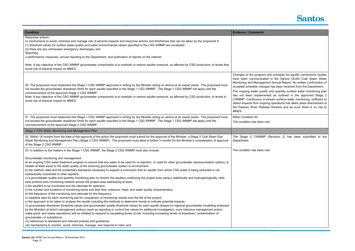

and schedule for aquifer connectivity studies in the Santos GLNG Coal Seam Water ent Annual Report. No written confirmation of es has been received from the Department.

and quantity surface water monitoring plan ted as outlined in the approved Stage 2 stream surface water monitoring, sufficient to ng operations has taken place downstream of se Scheme and as such there is no risk to

(Revision 2) has been submitted to the

| <b>Condition</b>                                                                                                                                                                                                                                                                                                                                                                                                                                                                                                                                                                                                                                                                                                                                                                                                              | <b>Evidence / Comments</b>                                                                                                                                                                                                                                                           |
|-------------------------------------------------------------------------------------------------------------------------------------------------------------------------------------------------------------------------------------------------------------------------------------------------------------------------------------------------------------------------------------------------------------------------------------------------------------------------------------------------------------------------------------------------------------------------------------------------------------------------------------------------------------------------------------------------------------------------------------------------------------------------------------------------------------------------------|--------------------------------------------------------------------------------------------------------------------------------------------------------------------------------------------------------------------------------------------------------------------------------------|
| Response actions<br>h) mechanisms to avoid, minimise and manage risk of adverse impacts and response actions and timeframes that can be taken by the proponent if:<br>(1) threshold values for surface water quality and water environmental values specified in the CSG WMMP are exceeded;<br>(2) there are any unforeseen emergency discharges; and<br>Reporting                                                                                                                                                                                                                                                                                                                                                                                                                                                            |                                                                                                                                                                                                                                                                                      |
| i) performance measures, annual reporting to the Department, and publication of reports on the internet.                                                                                                                                                                                                                                                                                                                                                                                                                                                                                                                                                                                                                                                                                                                      |                                                                                                                                                                                                                                                                                      |
| Note: A key objective of the CSG WMMP groundwater components is to maintain or restore aquifer pressure, as affected by CSG production, to levels that<br>avoid risk of adverse impact on MNES.                                                                                                                                                                                                                                                                                                                                                                                                                                                                                                                                                                                                                               |                                                                                                                                                                                                                                                                                      |
| 50. The proponent must implement the Stage 1 CSG WMMP approved in writing by the Minister acting on advice of an expert panel. The proponent must<br>not exceed the groundwater drawdown limits for each aquifer specified in the Stage 1 CSG WMMP. The Stage 1 CSG WMMP will apply until the<br>commencement of the approved Stage 2 CSG WMMP.<br>Note: A key objective of the CSG WMMP groundwater components is to maintain or restore aquifer pressure, as affected by CSG production, to levels to<br>avoid risk of adverse impact on MNES.                                                                                                                                                                                                                                                                              | Changes to the program and<br>have been communicated i<br>Monitoring and Management<br>accepted schedule changes<br>The ongoing water quality at<br>has not been implemented<br><b>CWMMP.</b> Continuous in-stre<br>detect impacts from ongoing<br>the Dawson River Release<br>MNES. |
| 51. The proponent must implement the Stage 1 CSG WMMP approved in writing by the Minister acting on advice of an expert panel. The proponent must<br>not exceed the groundwater drawdown limits for each aquifer specified in the Stage 1 CSG WMMP. The Stage 1 CSG WMMP will apply until the<br>commencement of the approved Stage 2 CSG WMMP.                                                                                                                                                                                                                                                                                                                                                                                                                                                                               | Refer Condition 50.<br>The condition has been met.                                                                                                                                                                                                                                   |
| Stage 2 CSG Water Monitoring and Management Plan                                                                                                                                                                                                                                                                                                                                                                                                                                                                                                                                                                                                                                                                                                                                                                              |                                                                                                                                                                                                                                                                                      |
| 52. Within 18 months from the date of the approval of the action the proponent must submit for the approval of the Minister, a Stage 2 Coal Seam Gas<br>Water Monitoring and Management Plan (Stage 2 CSG WMMP). The proponent must allow a further 3 months for the Minister's consideration of approval<br>of the Stage 2 CSG WMMP.                                                                                                                                                                                                                                                                                                                                                                                                                                                                                         | The Stage 2 CWMMP (R<br>Department.                                                                                                                                                                                                                                                  |
| 53. In addition to the matters in the Stage 1 CSG WMMP, the Stage 2 CSG WMMP must also include:                                                                                                                                                                                                                                                                                                                                                                                                                                                                                                                                                                                                                                                                                                                               | The condition has been met.                                                                                                                                                                                                                                                          |
|                                                                                                                                                                                                                                                                                                                                                                                                                                                                                                                                                                                                                                                                                                                                                                                                                               |                                                                                                                                                                                                                                                                                      |
| Groundwater monitoring and management<br>a) an ongoing CSG water treatment program to ensure that any water to be used for re-injection, or used for other groundwater repressurisation options, is<br>treated at least equal to the water quality of the receiving groundwater system or environment;<br>b) the method, data and the evidentiary standards necessary to support a conclusion that an aquifer from which CSG water is being extracted is not<br>hydraulically connected to other aquifers;                                                                                                                                                                                                                                                                                                                    |                                                                                                                                                                                                                                                                                      |
| c) a groundwater quality and quantity monitoring plan to monitor the aquifers underlying the project area using a statistically and hydrogeologically valid,<br>best practice bore monitoring network across the project area addressing at least;<br>i) the aquifers to be monitored and the rationale for selection;<br>ii) the number and locations of monitoring bores and their flow, pressure, head, and water quality characteristics;<br>iii) the frequency of the monitoring and rationale for the frequency;                                                                                                                                                                                                                                                                                                        |                                                                                                                                                                                                                                                                                      |
| iv) baseline data for each monitoring site for comparison of monitoring results over the life of the project;<br>v) the approach to be taken to analyse the results including the methods to determine trends to indicate potential impacts;<br>vi) groundwater drawdown threshold values and groundwater quality threshold values for each aquifer (based on regional groundwater modelling endorsed<br>by the Minister) at which management actions (such as reporting or control line values for additional investigation, more intensive management action,<br>make good, and cease operations) will be initiated to respond to escalating levels of risk, including increasing levels of drawdown, contamination of<br>groundwater, or subsidence;<br>vii) references to standards and relevant policies and guidelines; |                                                                                                                                                                                                                                                                                      |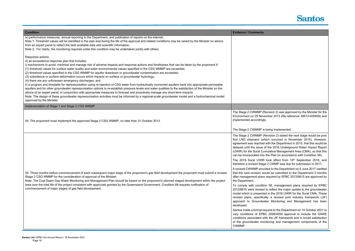

vision 2) was approved by the Minister for the nber 2013 (file reference: MS13-000959) and

#### eing implemented.

evision 2) stated the next stage would be post ch occurred in November 2015). However, vith the Department in 2015, that this would be the 2016 Underground Water Impact Report ulative Management Area (CMA), so that this he Plan (in accordance with Condition 58).

ook effect from 19<sup>th</sup> September 2016, and 2 CWMP was due for submission in 2017.

led to the Department on 5 June 2017 clarified Ild be submitted to the Department 3 months equired by EPBC 2012/6615 are approved by

58, management plans required by EPBC reflect the major update to the groundwater in the 2016 UWIR for the Surat CMA. These y a revised joint industry framework (JIF) er Monitoring and Management has been

uest to the Department on 14 October 2021 to 2008/4059 approval to include the DAWE the JIF framework and in broad satisfaction toring and management components of the

| <b>Condition</b>                                                                                                                                                                                                                                                                                                                                                                                                                                                                                                                                                                                                                                                                                                                                                                                                                                                                                                                                                                                                                                                                                                                                                                                                                                                         | <b>Evidence / Comments</b>                                                                                                                                                                                                                                                                                                                                                                                                                                                                                                                                                                                                         |
|--------------------------------------------------------------------------------------------------------------------------------------------------------------------------------------------------------------------------------------------------------------------------------------------------------------------------------------------------------------------------------------------------------------------------------------------------------------------------------------------------------------------------------------------------------------------------------------------------------------------------------------------------------------------------------------------------------------------------------------------------------------------------------------------------------------------------------------------------------------------------------------------------------------------------------------------------------------------------------------------------------------------------------------------------------------------------------------------------------------------------------------------------------------------------------------------------------------------------------------------------------------------------|------------------------------------------------------------------------------------------------------------------------------------------------------------------------------------------------------------------------------------------------------------------------------------------------------------------------------------------------------------------------------------------------------------------------------------------------------------------------------------------------------------------------------------------------------------------------------------------------------------------------------------|
| ix) performance measures, annual reporting to the Department, and publication of reports on the internet;<br>Note 1: Threshold values will be identified in the plan and during the life of the approval and related conditions may be varied by the Minister on advice<br>from an expert panel to reflect the best available data and scientific information.<br>Note 2: For clarity, the monitoring required under this condition may be undertaken jointly with others.                                                                                                                                                                                                                                                                                                                                                                                                                                                                                                                                                                                                                                                                                                                                                                                               |                                                                                                                                                                                                                                                                                                                                                                                                                                                                                                                                                                                                                                    |
| Response actions<br>d) an exceedence response plan that includes:<br>i) mechanisms to avoid, minimise and manage risk of adverse impacts and response actions and timeframes that can be taken by the proponent if:<br>(1) threshold values for surface water quality and water environmental values specified in the CSG WMMP are exceeded;<br>(2) threshold values specified in the CSG WMMP for aquifer drawdown or groundwater contamination are exceeded;<br>(3) subsidence or surface deformation occurs which impacts on surface or groundwater hydrology;<br>(4) there are any unforeseen emergency discharges; and<br>ii) a program and timetable for repressurisation using re-injection of CSG water from hydraulically connected aquifers back into appropriate permeable<br>aquifers and for other groundwater repressurisation options to re-establish pressure levels and water qualities to the satisfaction of the Minister on the<br>advice of an expert panel, in conjunction with appropriate measures to forecast and proactively manage any short-term impacts.<br>Note: The design of these groundwater repressurisation activities must be informed by a regional-scale groundwater model and a hydrochemical model<br>approved by the Minister. |                                                                                                                                                                                                                                                                                                                                                                                                                                                                                                                                                                                                                                    |
| Implementation of Stage 1 and Stage 2 CSG WMMP                                                                                                                                                                                                                                                                                                                                                                                                                                                                                                                                                                                                                                                                                                                                                                                                                                                                                                                                                                                                                                                                                                                                                                                                                           |                                                                                                                                                                                                                                                                                                                                                                                                                                                                                                                                                                                                                                    |
| 54. The proponent must implement the approved Stage 2 CSG WMMP, no later than 31 October 2013                                                                                                                                                                                                                                                                                                                                                                                                                                                                                                                                                                                                                                                                                                                                                                                                                                                                                                                                                                                                                                                                                                                                                                            | The Stage 2 CWMMP (Rev<br>Environment on 29 Novem<br>implemented accordingly.<br>The Stage 2 CWMMP is be                                                                                                                                                                                                                                                                                                                                                                                                                                                                                                                           |
| 55. Three months before commencement of each subsequent major stage of the proponent's gas field development the proponent must submit a revised<br>Stage 2 CSG WMMP for the consideration of approval of the Minister.<br>Note: The Coal Seam Gas Water Monitoring and Management Plan should be based on the proponent's planned staged development within the project<br>area over the total life of the project consistent with approvals granted by the Queensland Government. Condition 88 requires notification of<br>commencement of major stages of gas field development.                                                                                                                                                                                                                                                                                                                                                                                                                                                                                                                                                                                                                                                                                      | The Stage 2 CWMMP (Re<br>first LNG shipment (whic<br>agreement was reached wi<br>delayed until the issue of<br>(UWIR) for the Surat Cumu<br>can be incorporated into th<br>The 2016 Surat UWIR to<br>therefore a revised Stage 2<br>A revised CWWMP provide<br>that the next revision woul<br>after management plans re<br>the Department.<br>To comply with condition<br>2012/6615 were revised to<br>model which is presented<br>revised plans, specifically<br>approach to Groundwate<br>developed.<br>Santos made a formal requ<br>vary conditions of EPBC<br>conditions associated with<br>of the groundwater monit<br>CWMMP. |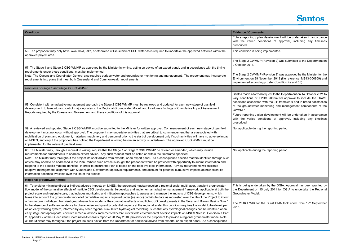

evelopment will be undertaken in accordance ons of approval, including any timelines

olemented.

vision 2) was submitted to the Department on

 $v$ ision 2) was approved by the Minister for the nber 2013 (file reference: MS13-000959) and (refer Condition 49 and 53).

uest to the Department on 14 October 2021 to 2008/4059 approval to include the DAWE the JIF framework and in broad satisfaction toring and management components of the

velopment will be undertaken in accordance ons of approval, including any timelines

reporting period.

reporting period.

by the OGIA. Approval has been granted by ily 2011 for OGIA to undertake the Regional

The 2016 UWIR for the Surat CMA took effect from 19<sup>th</sup> September

| <b>Condition</b>                                                                                                                                                                                                                                                                                                                                                                                                                                                                                                                                                                                                                                                                                                                                                                                                                                                                                                                                                                                                                                                                                                                                                                                                                                                                                                                                                                                                                                                                                                                                                                                           | <b>Evidence / Comments</b>                                                                                                                             |
|------------------------------------------------------------------------------------------------------------------------------------------------------------------------------------------------------------------------------------------------------------------------------------------------------------------------------------------------------------------------------------------------------------------------------------------------------------------------------------------------------------------------------------------------------------------------------------------------------------------------------------------------------------------------------------------------------------------------------------------------------------------------------------------------------------------------------------------------------------------------------------------------------------------------------------------------------------------------------------------------------------------------------------------------------------------------------------------------------------------------------------------------------------------------------------------------------------------------------------------------------------------------------------------------------------------------------------------------------------------------------------------------------------------------------------------------------------------------------------------------------------------------------------------------------------------------------------------------------------|--------------------------------------------------------------------------------------------------------------------------------------------------------|
|                                                                                                                                                                                                                                                                                                                                                                                                                                                                                                                                                                                                                                                                                                                                                                                                                                                                                                                                                                                                                                                                                                                                                                                                                                                                                                                                                                                                                                                                                                                                                                                                            | Future reporting / plan de<br>with the varied condition<br>prescribed.                                                                                 |
| 56. The proponent may only have, own, hold, take, or otherwise utilise sufficient CSG water as is required to undertake the approved activities within the<br>approved project area.                                                                                                                                                                                                                                                                                                                                                                                                                                                                                                                                                                                                                                                                                                                                                                                                                                                                                                                                                                                                                                                                                                                                                                                                                                                                                                                                                                                                                       | This condition is being imp                                                                                                                            |
| 57. The Stage 1 and Stage 2 CSG WMMP as approved by the Minister in writing, acting on advice of an expert panel, and in accordance with the timing<br>requirements under these conditions, must be implemented.<br>Note: The Queensland Coordinator-General also requires surface water and groundwater monitoring and management. The proponent may incorporate<br>requirements into plans that meet both Queensland and Commonwealth requirements.                                                                                                                                                                                                                                                                                                                                                                                                                                                                                                                                                                                                                                                                                                                                                                                                                                                                                                                                                                                                                                                                                                                                                      | The Stage 2 CWMMP (Re<br>9 October 2013.<br>The Stage 2 CWMMP (Re<br>Environment on 29 Novem                                                           |
|                                                                                                                                                                                                                                                                                                                                                                                                                                                                                                                                                                                                                                                                                                                                                                                                                                                                                                                                                                                                                                                                                                                                                                                                                                                                                                                                                                                                                                                                                                                                                                                                            | implemented accordingly (                                                                                                                              |
| Revisions of Stage 1 and Stage 2 CSG WMMP                                                                                                                                                                                                                                                                                                                                                                                                                                                                                                                                                                                                                                                                                                                                                                                                                                                                                                                                                                                                                                                                                                                                                                                                                                                                                                                                                                                                                                                                                                                                                                  |                                                                                                                                                        |
| 58. Consistent with an adaptive management approach the Stage 2 CSG WMMP must be reviewed and updated for each new stage of gas field<br>development: to take into account of major updates to the Regional Groundwater Model; and to address findings of Cumulative Impact Assessment<br>Reports required by the Queensland Government and these conditions of this approval.                                                                                                                                                                                                                                                                                                                                                                                                                                                                                                                                                                                                                                                                                                                                                                                                                                                                                                                                                                                                                                                                                                                                                                                                                             | Santos made a formal requ<br>vary conditions of EPBC<br>conditions associated with<br>of the groundwater monit<br>CWMMP.<br>Future reporting / plan de |
|                                                                                                                                                                                                                                                                                                                                                                                                                                                                                                                                                                                                                                                                                                                                                                                                                                                                                                                                                                                                                                                                                                                                                                                                                                                                                                                                                                                                                                                                                                                                                                                                            | with the varied condition<br>prescribed.                                                                                                               |
| 59. A reviewed and updated Stage 2 CSG WMMP must be submitted to the Minister for written approval. Commencement of each new stage of gas field<br>development must not occur without approval. The proponent may undertake activities that are critical to commencement that are associated with<br>mobilisation of plant and equipment, materials, machinery and personnel prior to the start of development only if such activities will have no adverse impact<br>on MNES, and only if the proponent has notified the Department in writing before an activity is undertaken. The approved CSG WMMP must be<br>implemented for the relevant gas field area.                                                                                                                                                                                                                                                                                                                                                                                                                                                                                                                                                                                                                                                                                                                                                                                                                                                                                                                                            | Not applicable during the r                                                                                                                            |
| 60. The Minister may, through a request in writing, require that the Stage 1 or Stage 2 CSG WMMP be revised or amended, which may include<br>requirements for amendments to address expert advice. Any such request must be acted on within the timeframe specified.<br>Note: The Minister may throughout the project life seek advice from experts, or an expert panel. As a consequence specific matters identified through such<br>advice may need to be addressed in the Plan. Where such advice is sought the proponent would be provided with opportunity to submit information and<br>respond to the specific matters identified, in order to ensure the Plan is based on the best available information. Review requirements will facilitate<br>adaptive management, alignment with Queensland Government approval requirements, and account for potential cumulative impacts as new scientific<br>information becomes available over the life of the project.                                                                                                                                                                                                                                                                                                                                                                                                                                                                                                                                                                                                                                     | Not applicable during the r                                                                                                                            |
| Regional groundwater model                                                                                                                                                                                                                                                                                                                                                                                                                                                                                                                                                                                                                                                                                                                                                                                                                                                                                                                                                                                                                                                                                                                                                                                                                                                                                                                                                                                                                                                                                                                                                                                 |                                                                                                                                                        |
| 61. To avoid or minimise direct or indirect adverse impacts on MNES, the proponent must:a) develop a regional scale, multi-layer, transient groundwater<br>flow model of the cumulative effects of multiple CSG developments; b) develop and implement an adaptive management framework, applicable at both the<br>project scale and regional-scale, that includes monitoring and mitigation approaches to assess and manage the impacts of CSG developments, which<br>takes into account the groundwater model of cumulative impacts required under (a); andc) contribute data as requested over the life of the Project to inform<br>a Basin-scale multi-layer, transient groundwater flow model of the cumulative effects of multiple CSG developments in the Surat and Bowen Basins. Note 1:<br>In the absence of sufficient evidence to characterise and quantify potential impacts at the regional scale, this condition requires the model to be developed<br>as an early warning system, informed by any other regional cumulative hydrological modelling, such that any hydrological changes can be identified at an<br>early stage and appropriate, effective remedial actions implemented before irreversible environmental adverse impacts on MNES.Note 2: Condition 7 Part<br>2, Appendix 2 of the Queensland Coordinator-General's report of 28 May 2010, provides for the proponent to provide a regional groundwater model.Note<br>3: The Minister may throughout the project life seek advice from the Department or additional advice from experts, or an expert panel. As a consequence | This is being undertaken I<br>the Department on 15 Jul<br>Groundwater Model.<br>The 2016 UWIR for the \$<br>2016.                                      |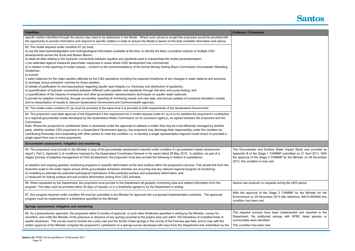

Surface Water Impact Study was provided as 1 CWMMP submitted on 21 April 2011. With the 2 CWMMP by the Minister on 29 November  $w$  met.

equests during the AER period.

e Stage 2 CWMMP by the Minister for the mber 2013 (file reference: MS13-000959) this

ave been implemented and reported to the onal springs with EPBC listed species or ied. net.

| <b>Condition</b>                                                                                                                     |                                                                                                                                                                                                                                                                                                                                                                                                                                                                                                                                                                                                                                                                                                                                                                                                                                    | <b>Evidence / Comments</b>                                                                                   |
|--------------------------------------------------------------------------------------------------------------------------------------|------------------------------------------------------------------------------------------------------------------------------------------------------------------------------------------------------------------------------------------------------------------------------------------------------------------------------------------------------------------------------------------------------------------------------------------------------------------------------------------------------------------------------------------------------------------------------------------------------------------------------------------------------------------------------------------------------------------------------------------------------------------------------------------------------------------------------------|--------------------------------------------------------------------------------------------------------------|
|                                                                                                                                      | specific matters identified through the advice may need to be addressed in the Model. Where such advice is sought the proponent would be provided with<br>the opportunity to provide information and respond to specific matters in order to ensure the Model is based on the best available information and advice.                                                                                                                                                                                                                                                                                                                                                                                                                                                                                                               |                                                                                                              |
| 62. The model required under condition 61 (a) must:<br>developments across the Surat and Bowen Basins;<br>Guidelines;<br>e) include: | a) use the best hydrostratigraphic and hydrogeological information available at the time, to identify the likely cumulative impacts of multiple CSG<br>b) detail all data relating to the hydraulic connectivity between aquifers and aquitards used to substantiate the model parameterisation;<br>c) be calibrated against measured piezometer responses in areas where CSG development has commenced;<br>d) in relation to the reporting of model outputs - conform to the recommendations of the former Murray Darling Basin Commission Groundwater Modelling                                                                                                                                                                                                                                                                  |                                                                                                              |
| ii) recharge versus extraction volumes for those aquifers;                                                                           | i) water balances for the major aquifers affected by the CSG operations including the expected timeframe of any changes in water balance and pressure;<br>iii) details of justification for and assumptions regarding aquifer seal integrity (i.e. thickness and distribution of aquitards);<br>iv) quantification of hydraulic connectivity between different units (aquifers and aquitards) through drill stem and pump testing; and<br>v) quantification of the impacts of reinjection and other groundwater repressurisation techniques on aquifer water balances;<br>f) provide for adaptive monitoring, through six-monthly reporting of monitoring results and new data, and annual updates of numerical simulation models<br>and re-interpretation of results to relevant Queensland Government and Commonwealth agencies. |                                                                                                              |
|                                                                                                                                      | 63. The model under condition 61 (a) must be provided at the same time it is provided to fulfil requirements of the Queensland Government.                                                                                                                                                                                                                                                                                                                                                                                                                                                                                                                                                                                                                                                                                         |                                                                                                              |
| Commission.<br>single report from one or more proponents.                                                                            | 64. The proponent must seek approval of the Department if the requirement for a model required under 61 (a) is to be satisfied the proponent's contribution<br>to a regional groundwater model developed by the Queensland Water Commission (or its successor agency), as agreed between the proponent and the<br>Note: Where the proponent is conditioned (here or elsewhere under the approval) to address a matter that may be most efficiently managed by another<br>party, whether another CSG proponent or a Queensland Government agency, the proponent may discharge their responsibility under the condition by<br>contributing financially and cooperating with other parties to meet the condition i.e. to develop a single representative regional model and/or to provided a                                          |                                                                                                              |
| Groundwater assessment, mitigation and monitoring                                                                                    |                                                                                                                                                                                                                                                                                                                                                                                                                                                                                                                                                                                                                                                                                                                                                                                                                                    |                                                                                                              |
|                                                                                                                                      | 65. The proponent must provide to the Minister a copy of the groundwater assessment required under condition 8 ('groundwater impact assessment<br>report'), Part 2, Appendix 2 of conditions imposed by the Queensland Coordinator-General in his report dated 28 May 2010. In addition, as part of a<br>staged process of adaptive management of CSG development, the proponent must also provide the following in relation to subsidence:                                                                                                                                                                                                                                                                                                                                                                                        | The Groundwater and S<br>Appendix B of the Stage<br>the approval of the Stage<br>2013, this condition is not |
|                                                                                                                                      | a) baseline and ongoing geodetic monitoring programs to quantify deformation at the land surface within the proponent's tenures. This should link from the<br>tenement scale to the wider region across which groundwater extraction activities are occurring and any relevant regional program of monitoring;<br>b) modelling to estimate the potential hydrological implications of the predicted surface and subsurface deformation; and<br>c) measures for linking surface and sub-surface deformation arising from CSG activities.                                                                                                                                                                                                                                                                                            |                                                                                                              |
|                                                                                                                                      | 66. When requested by the Department, the proponent must provide to the Department all geodetic monitoring data and related information from the<br>program. This data must be provided within 30 days of request, or in a timeframe agreed to by the Department in writing.                                                                                                                                                                                                                                                                                                                                                                                                                                                                                                                                                       | Santos has received no re                                                                                    |
|                                                                                                                                      | 67. Any program required under condition 65 must be submitted to the Minister for approval with a proposed implementation schedule. The approved<br>program must be implemented in a timeframe specified by the Minister.                                                                                                                                                                                                                                                                                                                                                                                                                                                                                                                                                                                                          | With the approval of the<br>Environment on 29 Nove<br>condition has been met.                                |
| Springs assessment, mitigation and monitoring                                                                                        |                                                                                                                                                                                                                                                                                                                                                                                                                                                                                                                                                                                                                                                                                                                                                                                                                                    |                                                                                                              |
|                                                                                                                                      | 68. As a precautionary approach, the proponent within 9 months of approval, or such other timeframe specified in writing by the Minister, survey for,<br>reconfirm, and notify the Minister of the presence or absence of any springs proximal to the project area and within 100 kilometres of modelled limits of<br>aquifer drawdown. The survey must:a) include the Lucky Last and the Scotts Creek springs in the vicinity of the Fairview gas field; and b) may with the<br>written approval of the Minister comprise the proponent's contribution to a springs survey developed with input from the Department and undertaken by the                                                                                                                                                                                         | The required surveys ha<br>Department. No additio<br>communities were identifi<br>This condition has been r  |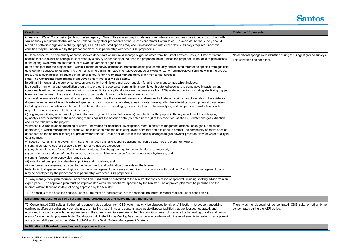

identified during the Stage 3 ground surveys.

of concentrated CSG salts or other brine ER period.

| <b>Condition</b>                                                                                                                                                                                                                                                                                                                                                                                                                                                                                                                                                                                                                                                                                                                                                                                                                                                                                                                                                                                                                                                                                                                                                                                                                                                                                                                                                                                                                                                                                                                                                                                                                                                                                                                                                                                                                                                                                                                                                                                                                                                                                                                                                                                                                                                                                                                                                                                                                                                                                                                                                                                                                                                                                                                                                                                                                                                                                                                                                                                                                                                                                                                                                                                                                                                                                                                                                                                                                                                                                                                                                                                                                                                                                                                                                                                                                                                                                                                                                                                                                                                                                                                                                                                                                 | <b>Evidence / Comments</b>                                    |
|----------------------------------------------------------------------------------------------------------------------------------------------------------------------------------------------------------------------------------------------------------------------------------------------------------------------------------------------------------------------------------------------------------------------------------------------------------------------------------------------------------------------------------------------------------------------------------------------------------------------------------------------------------------------------------------------------------------------------------------------------------------------------------------------------------------------------------------------------------------------------------------------------------------------------------------------------------------------------------------------------------------------------------------------------------------------------------------------------------------------------------------------------------------------------------------------------------------------------------------------------------------------------------------------------------------------------------------------------------------------------------------------------------------------------------------------------------------------------------------------------------------------------------------------------------------------------------------------------------------------------------------------------------------------------------------------------------------------------------------------------------------------------------------------------------------------------------------------------------------------------------------------------------------------------------------------------------------------------------------------------------------------------------------------------------------------------------------------------------------------------------------------------------------------------------------------------------------------------------------------------------------------------------------------------------------------------------------------------------------------------------------------------------------------------------------------------------------------------------------------------------------------------------------------------------------------------------------------------------------------------------------------------------------------------------------------------------------------------------------------------------------------------------------------------------------------------------------------------------------------------------------------------------------------------------------------------------------------------------------------------------------------------------------------------------------------------------------------------------------------------------------------------------------------------------------------------------------------------------------------------------------------------------------------------------------------------------------------------------------------------------------------------------------------------------------------------------------------------------------------------------------------------------------------------------------------------------------------------------------------------------------------------------------------------------------------------------------------------------------------------------------------------------------------------------------------------------------------------------------------------------------------------------------------------------------------------------------------------------------------------------------------------------------------------------------------------------------------------------------------------------------------------------------------------------------------------------------------------------|---------------------------------------------------------------|
| Queensland Water Commission (or its successor agency). Note1: This survey may include use of remote sensing and may be aligned or combined with<br>similar survey requirements that are to be undertaken by other proponents or the Queensland Water Commission. To avoid doubt, the survey should<br>report on both discharge and recharge springs, as EPBC Act listed species may occur in association with either. Note 2: Surveys required under this<br>condition may be undertaken by the proponent alone or in partnership with other CSG proponents.                                                                                                                                                                                                                                                                                                                                                                                                                                                                                                                                                                                                                                                                                                                                                                                                                                                                                                                                                                                                                                                                                                                                                                                                                                                                                                                                                                                                                                                                                                                                                                                                                                                                                                                                                                                                                                                                                                                                                                                                                                                                                                                                                                                                                                                                                                                                                                                                                                                                                                                                                                                                                                                                                                                                                                                                                                                                                                                                                                                                                                                                                                                                                                                                                                                                                                                                                                                                                                                                                                                                                                                                                                                                     |                                                               |
| 69. If presence of The community of native species dependant on natural discharge of groundwater from the Great Artesian Basin, or listed threatened<br>species that are reliant on springs, is confirmed by a survey under condition 68, then the proponent must (unless the proponent is not able to gain access<br>to the spring, even with the assistance of relevant government agencies):<br>a) for springs within the project area - within 1 month of survey completion protect the ecological community and/or listed threatened species from gas field<br>development activities by establishing and maintaining a minimum 200 m employee/contractor exclusion zone from the relevant springs within the project<br>area, unless such access is required in an emergency, for environmental management, or for monitoring purposes;<br>Note: The Constraints Planning and Field Development Protocol will also apply.<br>b) Within 12 months of the survey completion provide to the Minister a management plan for all the relevant springs which includes:<br>i) a specific monitoring and remediation program to protect the ecological community and/or listed threatened species and cumulative impacts on any<br>components within the project area and within modelled limits of aquifer draw-down that may arise from CSG water extraction, including identifying trigger<br>levels and responses in the case of changes to groundwater flow or quality in each relevant spring;<br>ii) a baseline analysis of four 3-monthly samplings to determine the seasonal presence or absence of all relevant springs, and to establish: the existence,<br>dispersion and extent of listed threatened species; aquatic macro-invertebrates; aquatic plants; water quality characteristics; spring physical parameters<br>including seasonal variation, depth, and flow rate; aquifer source including hydrochemical and isotopic analysis, and comparison of water levels with<br>respect to source aquifer potentiometric surface;<br>iii) ongoing monitoring on a 6 monthly basis (to cover high and low rainfall seasons) over the life of the project in the region relevant to each spring;<br>iv) analysis and calibration of the monitoring results against the baseline data (collected under (ii) of this condition) as the CSG water and gas extraction<br>occurs over the life of the project;<br>v) threshold values (such as reporting or control line values for additional investigation, more intensive management actions, make good, and cease<br>operations) at which management actions will be initiated to respond escalating levels of impact and designed to protect The community of native species<br>dependent on the natural discharge of groundwater from the Great Artesian Basin in the case of changes to groundwater pressure, flow, or water quality in<br>GAB springs;<br>vi) specific mechanisms to avoid, minimise, and manage risks, and response actions that can be taken by the proponent where:<br>(1) any threshold values for surface environmental values are exceeded;<br>(2) any threshold values for aquifer draw down, water quality change, or aquifer contamination are exceeded;<br>(3) subsidence or surface deformation occurs, particularly if it impacts on surface or groundwater hydrology; and<br>(4) any unforeseen emergency discharges occur;<br>vii) established best practice standards, policies and guidelines; and<br>viii) performance measures, reporting to the Department, and publication of reports on the Internet.<br>Note: Individual species and ecological community management plans are also required in accordance with condition 7 and 8. The management plans<br>may be developed by the proponent or in partnership with other CSG proponents.<br>70. Any management plan required under condition 69(b) must be submitted to the Minister for consideration of approval including seeking advice from an<br>expert panel. The approved plan must be implemented within the timeframe specified by the Minister. The approved plan must be published on the<br>Internet within 20 business days of being approved by the Minister. | No additional springs were id<br>This condition has been met. |
| 71. The results of the baseline analysis under 69 (b) must be incorporated into the regional groundwater model required under condition 61.                                                                                                                                                                                                                                                                                                                                                                                                                                                                                                                                                                                                                                                                                                                                                                                                                                                                                                                                                                                                                                                                                                                                                                                                                                                                                                                                                                                                                                                                                                                                                                                                                                                                                                                                                                                                                                                                                                                                                                                                                                                                                                                                                                                                                                                                                                                                                                                                                                                                                                                                                                                                                                                                                                                                                                                                                                                                                                                                                                                                                                                                                                                                                                                                                                                                                                                                                                                                                                                                                                                                                                                                                                                                                                                                                                                                                                                                                                                                                                                                                                                                                      |                                                               |
| Discharge, disposal or use of CSG salts, brine concentrates and heavy metals / metalloids                                                                                                                                                                                                                                                                                                                                                                                                                                                                                                                                                                                                                                                                                                                                                                                                                                                                                                                                                                                                                                                                                                                                                                                                                                                                                                                                                                                                                                                                                                                                                                                                                                                                                                                                                                                                                                                                                                                                                                                                                                                                                                                                                                                                                                                                                                                                                                                                                                                                                                                                                                                                                                                                                                                                                                                                                                                                                                                                                                                                                                                                                                                                                                                                                                                                                                                                                                                                                                                                                                                                                                                                                                                                                                                                                                                                                                                                                                                                                                                                                                                                                                                                        |                                                               |
| 72. Concentrated CSG salts and other brine concentrates derived from CSG water may only be disposed by either:a) injection into deeper, underlying<br>confined aquifers of equivalent water chemistry; or, failing that,b) in secure contaminated waste disposal facilities that are licensed, operated, and<br>monitored in accordance with the requirements of the Queensland Government.Note: This condition does not preclude the harvesting of salts and heavy<br>metals for commercial purposes. Note: Salt disposal within the Murray-Darling Basin must be in accordance with the requirements for salinity management<br>and accountability set out in the Water Act 2007 and the Basin Salinity Management Strategy.                                                                                                                                                                                                                                                                                                                                                                                                                                                                                                                                                                                                                                                                                                                                                                                                                                                                                                                                                                                                                                                                                                                                                                                                                                                                                                                                                                                                                                                                                                                                                                                                                                                                                                                                                                                                                                                                                                                                                                                                                                                                                                                                                                                                                                                                                                                                                                                                                                                                                                                                                                                                                                                                                                                                                                                                                                                                                                                                                                                                                                                                                                                                                                                                                                                                                                                                                                                                                                                                                                   | There was no disposal of<br>concentrates during the AER       |
| Notification of threshold breaches and response actions                                                                                                                                                                                                                                                                                                                                                                                                                                                                                                                                                                                                                                                                                                                                                                                                                                                                                                                                                                                                                                                                                                                                                                                                                                                                                                                                                                                                                                                                                                                                                                                                                                                                                                                                                                                                                                                                                                                                                                                                                                                                                                                                                                                                                                                                                                                                                                                                                                                                                                                                                                                                                                                                                                                                                                                                                                                                                                                                                                                                                                                                                                                                                                                                                                                                                                                                                                                                                                                                                                                                                                                                                                                                                                                                                                                                                                                                                                                                                                                                                                                                                                                                                                          |                                                               |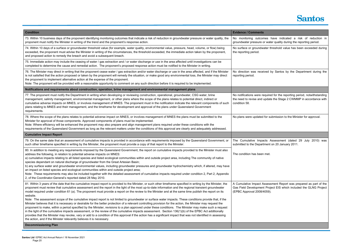

have indicated a risk of reduction in water quality during the reporting period.

r threshold value has been exceeded during

ed by Santos by the Department during the

 $\mu$  notification increporting period, notwithstanding date the Stage 2 CWMMP in accordance with

r submission to the Minister for approval.

Assessment (dated 29 July 2010) was ent on 20 January 2011.

let.

essment Report was prepared as part of the Project EIS which included the GLNG Project 59).

| <b>Condition</b>                                                                                                                                                                                                                                                                                                                                                                                                                                                                                                                                                                                                                                                                                                                                                                                                                                                                                                                                                                                                                                                                                                                                                                                                                                                                                                                                                                             | <b>Evidence / Comments</b>                                                      |
|----------------------------------------------------------------------------------------------------------------------------------------------------------------------------------------------------------------------------------------------------------------------------------------------------------------------------------------------------------------------------------------------------------------------------------------------------------------------------------------------------------------------------------------------------------------------------------------------------------------------------------------------------------------------------------------------------------------------------------------------------------------------------------------------------------------------------------------------------------------------------------------------------------------------------------------------------------------------------------------------------------------------------------------------------------------------------------------------------------------------------------------------------------------------------------------------------------------------------------------------------------------------------------------------------------------------------------------------------------------------------------------------|---------------------------------------------------------------------------------|
| 73. Within 10 business days of the proponent identifying monitoring outcomes that indicate a risk of reduction in groundwater pressure or water quality, the<br>proponent must notify the Minister in writing of the trend and the proponent's response action.                                                                                                                                                                                                                                                                                                                                                                                                                                                                                                                                                                                                                                                                                                                                                                                                                                                                                                                                                                                                                                                                                                                              | No monitoring outcomes<br>groundwater pressure or w                             |
| 74. Within 10 days of a surface or groundwater threshold value (for example, water quality, environmental value, pressure, head, volume, or flow) being<br>exceeded, the proponent must advise the Minister in writing of the circumstances, the threshold exceeded, the immediate action taken by the proponent,<br>and proposed action to remedy the breach and avoid a subsequent breach.                                                                                                                                                                                                                                                                                                                                                                                                                                                                                                                                                                                                                                                                                                                                                                                                                                                                                                                                                                                                 | No surface or groundwater<br>the reporting period.                              |
| 75. Immediate action may include the ceasing of water / gas extraction and / or water discharge or use in the area affected until investigations can be<br>completed to determine the cause and remedial action. The proponent's proposed response action must be notified to the Minister in writing.                                                                                                                                                                                                                                                                                                                                                                                                                                                                                                                                                                                                                                                                                                                                                                                                                                                                                                                                                                                                                                                                                       |                                                                                 |
| 76. The Minister may direct in writing that the proponent cease water / gas extraction and/or water discharge or use in the area affected, and if the Minister<br>is not satisfied that the action proposed or taken by the proponent will remedy the situation, or make good any environmental loss, the Minister may direct<br>the proponent to implement alternative action at the expense of the proponent.<br>Note: The proponent will be provided with a reasonable opportunity to comment on any such direction before it is required to be implemented.                                                                                                                                                                                                                                                                                                                                                                                                                                                                                                                                                                                                                                                                                                                                                                                                                              | No direction was received<br>reporting period.                                  |
| Notifications and requirements about construction, operation, brine management and environmental management plans                                                                                                                                                                                                                                                                                                                                                                                                                                                                                                                                                                                                                                                                                                                                                                                                                                                                                                                                                                                                                                                                                                                                                                                                                                                                            |                                                                                 |
| 77. The proponent must notify the Department in writing when developing or reviewing construction, operational, groundwater, CSG water, brine<br>management, salinity management, environmental management, or other plans where the scope of the plans relates to potential direct, indirect or<br>cumulative adverse impacts on MNES, or involves management of MNES. The proponent must in the notification indicate the relevant components of such<br>plans relating to MNES and their management, and the timeframe for development and approval of the plans under Queensland Government<br>requirements.                                                                                                                                                                                                                                                                                                                                                                                                                                                                                                                                                                                                                                                                                                                                                                             | No notifications were requi<br>the need to revise and upd<br>condition 58.      |
| 78. Where the scope of the plans relates to potential adverse impact on MNES, or involves management of MNES the plans must be submitted to the<br>Minister for approval of those components. Approved components of plans must be implemented.<br>Note: Where efficiency will be enhanced the proponent may also prepare and align management plans required under these conditions with the<br>requirements of the Queensland Government as long as the relevant matters under the conditions of this approval are clearly and adequately addressed.                                                                                                                                                                                                                                                                                                                                                                                                                                                                                                                                                                                                                                                                                                                                                                                                                                       | No plans were updated for                                                       |
| <b>Cumulative Impact Report</b>                                                                                                                                                                                                                                                                                                                                                                                                                                                                                                                                                                                                                                                                                                                                                                                                                                                                                                                                                                                                                                                                                                                                                                                                                                                                                                                                                              |                                                                                 |
| 79. On the same date that an assessment of cumulative impacts is provided in accordance with requirements imposed by the Queensland Government, or<br>such other timeframe specified in writing by the Minister, the proponent must provide a copy of that report to the Minister.                                                                                                                                                                                                                                                                                                                                                                                                                                                                                                                                                                                                                                                                                                                                                                                                                                                                                                                                                                                                                                                                                                           | The Cumulative Impacts<br>submitted to the Departme                             |
| 80. In addition to meeting any requirements imposed by the Queensland Government, the report on cumulative impacts provided to the Minister must also<br>address the following, in relation to potential adverse impacts on MNES:<br>a) cumulative impacts relating to all listed species and listed ecological communities within and outside project area, including The community of native<br>species dependant on natural discharge of groundwater from the Great Artesian Basin;<br>b) any surface water and groundwater environmental values, including groundwater pressures and groundwater hydrochemistry which, if altered, may have<br>an impact on listed species and ecological communities within and outside project area;<br>Note: These requirements may also be included together with the detailed assessment of cumulative impacts required under condition 2, Part 2, Appendix<br>2, of the Coordinator-General's reported dated 28 May 2010.                                                                                                                                                                                                                                                                                                                                                                                                                          | The condition has been me                                                       |
| 81. Within 3 years of the date that the cumulative impact report is provided to the Minister, or such other timeframe specified in writing by the Minister, the<br>proponent must review that cumulative assessment and the report in the light of the most up-to-date information and the regional transient groundwater<br>model required under condition 61 (a). The proponent must provide a report on the review to the Minister and at the same time publish the report on its<br>website.<br>Note: The assessment scope of the cumulative impact report is not limited to groundwater or surface water impacts. These conditions provide that, if the<br>Minister believes that it is necessary or desirable for the better protection of a relevant controlling provision for the action, the Minister may request the<br>proponent to make, within a period specified by the Minister, revisions to a plan approved under these conditions. The Minister may make such a request<br>in the light of the cumulative impacts assessment, or the review of the cumulative impacts assessment. Section 136(1)(b) of the EPBC Act additionally<br>provides that the Minister may revoke, vary or add to a condition of this approval if the action has a significant impact that was not identified in assessing<br>the action, and if the Minister relevantly believes it is necessary. | A Cumulative Impact Asse<br>Gas Field Development Pr<br>(EPBC Approval 2008/405 |
| <b>Decommissioning Plan</b>                                                                                                                                                                                                                                                                                                                                                                                                                                                                                                                                                                                                                                                                                                                                                                                                                                                                                                                                                                                                                                                                                                                                                                                                                                                                                                                                                                  |                                                                                 |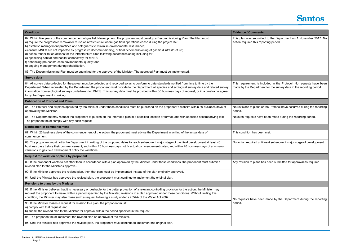

to the Department on 1 November 2017. No ing period.

ded in the Protocol. No requests have been for the survey data in the reporting period.

e Protocol have occurred during the reporting

 $\epsilon$ en made during the reporting period.

et.

ext subsequent major stage of development

been submitted for approval as required.

nade by the Department during the reporting

| <b>Condition</b>                                                                                                                                                                                                                                                                                                                                                                                                                                                                                                                                                                                                                                                                                                                                                       | <b>Evidence / Comments</b>                                  |  |
|------------------------------------------------------------------------------------------------------------------------------------------------------------------------------------------------------------------------------------------------------------------------------------------------------------------------------------------------------------------------------------------------------------------------------------------------------------------------------------------------------------------------------------------------------------------------------------------------------------------------------------------------------------------------------------------------------------------------------------------------------------------------|-------------------------------------------------------------|--|
| 82. Within five years of the commencement of gas field development, the proponent must develop a Decommissioning Plan. The Plan must:<br>a) require the progressive removal or reuse of infrastructure where gas field operations cease during the project life;<br>b) establish management practices and safeguards to minimise environmental disturbance;<br>c) ensure MNES are not impacted by progressive decommissioning, or final decommissioning of gas field infrastructure;<br>d) define rehabilitation actions for the infrastructure sites following decommissioning including for:<br>e) optimising habitat and habitat connectivity for MNES;<br>f) enhancing pre-construction environmental quality; and<br>g) ongoing management during rehabilitation. | This plan was submitted to<br>action required this reportir |  |
| 83. The Decommissioning Plan must be submitted for the approval of the Minister. The approved Plan must be implemented.                                                                                                                                                                                                                                                                                                                                                                                                                                                                                                                                                                                                                                                |                                                             |  |
| <b>Survey data</b>                                                                                                                                                                                                                                                                                                                                                                                                                                                                                                                                                                                                                                                                                                                                                     |                                                             |  |
| 84. All survey data collected for the project must be collected and recorded so as to conform to data standards notified from time to time by the<br>Department. When requested by the Department, the proponent must provide to the Department all species and ecological survey data and related survey<br>information from ecological surveys undertaken for MNES. This survey data must be provided within 30 business days of request, or in a timeframe agreed<br>to by the Department in writing.                                                                                                                                                                                                                                                               | This requirement is includ<br>made by the Department fo     |  |
| <b>Publication of Protocol and Plans</b>                                                                                                                                                                                                                                                                                                                                                                                                                                                                                                                                                                                                                                                                                                                               |                                                             |  |
| 85. The Protocol and all plans approved by the Minister under these conditions must be published on the proponent's website within 30 business days of<br>approval by the Minister.                                                                                                                                                                                                                                                                                                                                                                                                                                                                                                                                                                                    | No revisions to plans or the<br>period.                     |  |
| 86. The Department may request the proponent to publish on the Internet a plan in a specified location or format, and with specified accompanying text.<br>The proponent must comply with any such request.                                                                                                                                                                                                                                                                                                                                                                                                                                                                                                                                                            | No such requests have bee                                   |  |
| <b>Notification of commencement</b>                                                                                                                                                                                                                                                                                                                                                                                                                                                                                                                                                                                                                                                                                                                                    |                                                             |  |
| 87. Within 20 business days of the commencement of the action, the proponent must advise the Department in writing of the actual date of<br>commencement.                                                                                                                                                                                                                                                                                                                                                                                                                                                                                                                                                                                                              | This condition has been me                                  |  |
| 88. The proponent must notify the Department in writing of the proposed dates for each subsequent major stage of gas field development at least 40<br>business days before their commencement, and within 20 business days notify actual commencement dates, and within 20 business days of any major<br>variations to gas field development notify the variations.                                                                                                                                                                                                                                                                                                                                                                                                    | No action required until ne:                                |  |
| Request for variation of plans by proponent                                                                                                                                                                                                                                                                                                                                                                                                                                                                                                                                                                                                                                                                                                                            |                                                             |  |
| 89. If the proponent wants to act other than in accordance with a plan approved by the Minister under these conditions, the proponent must submit a<br>revised plan for the Minister's approval.                                                                                                                                                                                                                                                                                                                                                                                                                                                                                                                                                                       | Any revision to plans has b                                 |  |
| 90. If the Minister approves the revised plan, then that plan must be implemented instead of the plan originally approved.                                                                                                                                                                                                                                                                                                                                                                                                                                                                                                                                                                                                                                             |                                                             |  |
| 91. Until the Minister has approved the revised plan, the proponent must continue to implement the original plan.                                                                                                                                                                                                                                                                                                                                                                                                                                                                                                                                                                                                                                                      |                                                             |  |
| <b>Revisions to plans by the Minister</b>                                                                                                                                                                                                                                                                                                                                                                                                                                                                                                                                                                                                                                                                                                                              |                                                             |  |
| 92. If the Minister believes that it is necessary or desirable for the better protection of a relevant controlling provision for the action, the Minister may<br>request the proponent to make, within a period specified by the Minister, revisions to a plan approved under these conditions. Without limiting this<br>condition, the Minister may also make such a request following a study under s.255AA of the Water Act 2007.                                                                                                                                                                                                                                                                                                                                   | No requests have been m                                     |  |
| 93. If the Minister makes a request for revision to a plan, the proponent must:<br>a) comply with that request; and<br>b) submit the revised plan to the Minister for approval within the period specified in the request.                                                                                                                                                                                                                                                                                                                                                                                                                                                                                                                                             | period.                                                     |  |
| 94. The proponent must implement the revised plan on approval of the Minister.                                                                                                                                                                                                                                                                                                                                                                                                                                                                                                                                                                                                                                                                                         |                                                             |  |
| 95. Until the Minister has approved the revised plan, the proponent must continue to implement the original plan.                                                                                                                                                                                                                                                                                                                                                                                                                                                                                                                                                                                                                                                      |                                                             |  |
|                                                                                                                                                                                                                                                                                                                                                                                                                                                                                                                                                                                                                                                                                                                                                                        |                                                             |  |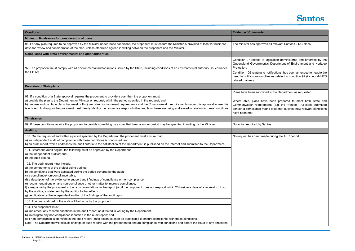

all relevant Santos GLNG plans.

egislation administered and enforced by the 's Department of Environment and Heritage

 $\overline{\text{rotifications}}$ , has been amended to negate the ances related to condition 97 (i.e. non-MNES

d to the Department as requested.

been prepared to meet both State and ents (e.g. the Protocol). All plans submitted rix table that outlines how relevant conditions

le during the AER period.

| <b>Condition</b>                                                                                                                                                                                                                                                                                                                                                                                                                                                                                                                                                                                                                                                                                                  | <b>Evidence / Comments</b>                                                                                                                                          |
|-------------------------------------------------------------------------------------------------------------------------------------------------------------------------------------------------------------------------------------------------------------------------------------------------------------------------------------------------------------------------------------------------------------------------------------------------------------------------------------------------------------------------------------------------------------------------------------------------------------------------------------------------------------------------------------------------------------------|---------------------------------------------------------------------------------------------------------------------------------------------------------------------|
| Minimum timeframes for consideration of plans                                                                                                                                                                                                                                                                                                                                                                                                                                                                                                                                                                                                                                                                     |                                                                                                                                                                     |
| 96. For any plan required to be approved by the Minister under these conditions, the proponent must ensure the Minister is provided at least 20 business<br>days for review and consideration of the plan, unless otherwise agreed in writing between the proponent and the Minister.                                                                                                                                                                                                                                                                                                                                                                                                                             | The Minister has approved all                                                                                                                                       |
| <b>Compliance with State environmental and other authorities</b>                                                                                                                                                                                                                                                                                                                                                                                                                                                                                                                                                                                                                                                  |                                                                                                                                                                     |
| 97. The proponent must comply with all environmental authorisations issued by the State, including conditions of an environmental authority issued under<br>the EP Act.                                                                                                                                                                                                                                                                                                                                                                                                                                                                                                                                           | Condition 97 relates to legis<br>Queensland Government's D<br>Protection.<br>Condition 106 relating to notifi<br>need to notify non-compliance<br>related matters). |
| <b>Provision of State plans</b>                                                                                                                                                                                                                                                                                                                                                                                                                                                                                                                                                                                                                                                                                   |                                                                                                                                                                     |
| 98. If a condition of a State approval requires the proponent to provide a plan then the proponent must:<br>a) provide the plan to the Department or Minister on request, within the period specified in the request; and<br>b) prepare and combine plans that meet both Queensland Government requirements and the Commonwealth requirements under this approval where this<br>is efficient. In doing so the proponent must clearly identify the respective responsibilities and how these are being addressed in relation to these conditions.                                                                                                                                                                  | Plans have been submitted to<br>Where able, plans have be<br>Commonwealth requirements<br>contain a compliance matrix t<br>have been met                            |
| <b>Timeframes</b>                                                                                                                                                                                                                                                                                                                                                                                                                                                                                                                                                                                                                                                                                                 |                                                                                                                                                                     |
| 99. If these conditions require the proponent to provide something by a specified time, a longer period may be specified in writing by the Minister.                                                                                                                                                                                                                                                                                                                                                                                                                                                                                                                                                              | No action required by Santos.                                                                                                                                       |
| <b>Auditing</b>                                                                                                                                                                                                                                                                                                                                                                                                                                                                                                                                                                                                                                                                                                   |                                                                                                                                                                     |
| 100. On the request of and within a period specified by the Department, the proponent must ensure that:<br>a) an independent audit of compliance with these conditions is conducted; and<br>b) an audit report, which addresses the audit criteria to the satisfaction of the Department, is published on the Internet and submitted to the Department.<br>101. Before the audit begins, the following must be approved by the Department:                                                                                                                                                                                                                                                                        | No request has been made du                                                                                                                                         |
| a) the independent auditor; and<br>b) the audit criteria.                                                                                                                                                                                                                                                                                                                                                                                                                                                                                                                                                                                                                                                         |                                                                                                                                                                     |
| 102. The audit report must include:<br>a) the components of the project being audited;<br>b) the conditions that were activated during the period covered by the audit;<br>c) a compliance/non-compliance table;<br>d) a description of the evidence to support audit findings of compliance or non-compliance;<br>e) recommendations on any non-compliance or other matter to improve compliance;<br>f) a response by the proponent to the recommendations in the report (or, if the proponent does not respond within 20 business days of a request to do so<br>by the auditor, a statement by the auditor to that effect);<br>g) certification by the independent auditor of the findings of the audit report. |                                                                                                                                                                     |
| 103. The financial cost of the audit will be borne by the proponent.                                                                                                                                                                                                                                                                                                                                                                                                                                                                                                                                                                                                                                              |                                                                                                                                                                     |
| 104. The proponent must:<br>a) implement any recommendations in the audit report, as directed in writing by the Department;<br>b) investigate any non-compliance identified in the audit report; and<br>c) if non-compliance is identified in the audit report - take action as soon as practicable to ensure compliance with these conditions.<br>Note: The Department will discuss findings of audit reports with the proponent to ensure compliance with conditions and before the issue of any directions.                                                                                                                                                                                                    |                                                                                                                                                                     |